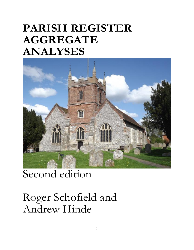# **PARISH REGISTER AGGREGATE ANALYSES**



## Second edition

Roger Schofield and Andrew Hinde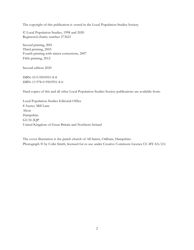The copyright of this publication is vested in the Local Population Studies Society.

© Local Population Studies, 1998 and 2020 Registered charity number 273621

Second printing, 2001 Third printing, 2003 Fourth printing with minor corrections, 2007 Fifth printing, 2012

Second edition 2020

ISBN-10 0-9503951-8-8 ISBN-13 978-0-9503951-8-0

Hard copies of this and all other Local Population Studies Society publications are available from:

Local Population Studies Editorial Office 8 Anstey Mill Lane Alton Hampshire GU34 2QP United Kingdom of Great Britain and Northern Ireland

The cover illustration is the parish church of All Saints, Odiham, Hampshire. Photograph © by Colin Smith, licensed for re-use under Creative Commons Licence CC-BY-SA/2.0.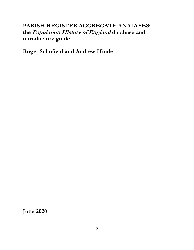## **PARISH REGISTER AGGREGATE ANALYSES: the Population History of England database and introductory guide**

**Roger Schofield and Andrew Hinde**

**June 2020**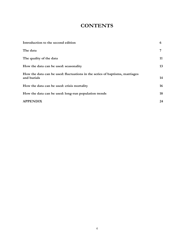## **CONTENTS**

| Introduction to the second edition                                                         | 6  |
|--------------------------------------------------------------------------------------------|----|
| The data                                                                                   | 7  |
| The quality of the data                                                                    | 11 |
| How the data can be used: seasonality                                                      | 13 |
| How the data can be used: fluctuations in the series of baptisms, marriages<br>and burials | 14 |
| How the data can be used: crisis mortality                                                 | 16 |
| How the data can be used: long-run population trends                                       | 18 |
| <b>APPENDIX</b>                                                                            | 24 |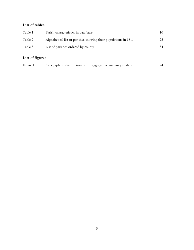### **List of tables**

| Parish characteristics in data base                             | 10. |
|-----------------------------------------------------------------|-----|
| Alphabetical list of parishes showing their populations in 1811 | 25  |
| List of parishes ordered by county                              | 34  |
|                                                                 |     |

## **List of figures**

| Figure 1<br>Geographical distribution of the aggregative analysis parishes | 24 |
|----------------------------------------------------------------------------|----|
|----------------------------------------------------------------------------|----|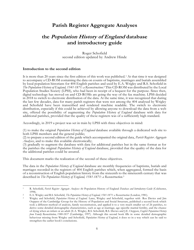## **Parish Register Aggregate Analyses**

## **the Population History of England database and introductory guide**

Roger Schofield second edition updated by Andrew Hinde

#### **Introduction to the second edition**

It is more than 20 years since the first edition of this work was published.<sup>1</sup> At that time it was designed to accompany a CD-ROM containing the data on counts of baptisms, marriages and burials assembled by local population historians for 404 English parishes and used by E.A. Wrigley and R.S. Schofield in *The Population History of England, 1541-1871: a Reconstruction*. <sup>2</sup> This CD-ROM was distributed by the Local Population Studies Society (LPSS), who had been in receipt of a bequest for the purpose. Since then, digital technology has moved on and CD-ROMs are going the way of the fax machine. LPSS decided in 2018 to switch to electronic distribution of the data. At the same time, it was recognized that during the last few decades, data for many parish registers that were not among the 404 analysed by Wrigley and Schofield have been transcribed and rendered machine readable. The switch to electronic distribution, especially if this could be achieved by allowing anyone to download the data from a web site, offered the possibility of augmenting the *Population History of England* database with data for additional parishes, provided that the quality of these registers was of a sufficiently high standard.

Accordingly, in 2019 a project was set in train by LPSS with three objectives in mind:

(1) to make the original *Population History of England* database available through a dedicated web site to both LPSS members and the general public;

(2) to prepare a second edition of the guide which accompanied the original data, *Parish Register Aggregate Analyses*, and to make this available electronically;

(3) gradually to augment the database with data for additional parishes but in the same format as for the parishes the original *Population History of England* database, provided that the quality of the data for the additional parishes could be assured.

This document marks the realization of the second of these objectives.

The data in the *Population History of England* database are monthly frequencies of baptisms, burials and marriages recorded in the registers of 404 English parishes which, when aggregated, formed the basis of a reconstruction of English population history from the sixteenth to the nineteenth century that was described in *The Population History of England, 1541-1871: a Reconstruction*. 3

<sup>1</sup> R. Schofield, *Parish Register Aggregate Analyses: the* Population History of England *Database and Introductory Guide* (Colchester, 1998).

<sup>2</sup> E.A. Wrigley and R.S. Schofield, *The Population History of England, 1541-1871: a Reconstruction* (London, 1981).

<sup>3</sup> Wrigley and Schofield, *Population History of England.* Later, Wrigley and Schofield, together with Ros Davies and Jim Oeppen of the Cambridge Group for the History of Population and Social Structure, published a second book which took a different method of analysis, family reconstitution, and applied it to a very much smaller set of 26 parishes, to derive some detailed demographic characteristics, such as age at marriage, age-specific marital fertility, and the chance of dying when an infant or an adult (E.A. Wrigley, R.S. Schofield, R.S. Davies and J.E. Oeppen, *English Population History from Family Reconstitution, 1580-1837* (Cambridge, 1997). Although this second book fills in some detailed demographic behaviour missing from Wrigley and Schofield, *Population History of England*, it does so in a way which can be said to strengthen the earlier book's conclusions.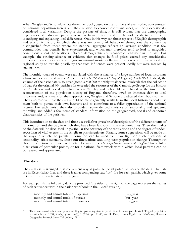When Wrigley and Schofield wrote the earlier book, based on the numbers of events, they concentrated on national population trends and their relation to economic circumstances, and only occasionally considered local variations. Despite the passage of time, it is still evident that the demographic experiences of individual parishes were far from uniform and much work needs to be done in identifying and explaining local differences. Only in this way can those aspects of English demographic and economic history in which there was uniformity of behaviour throughout the country be distinguished from those where the national aggregate reflects an average condition that few communities may actually have experienced, and which may therefore tend to lead to misguided conclusions about the relations between demographic and economic behaviour in the past. For example, the striking absence of evidence that changes in food prices exerted any considerable influence upon either short- or long-term national mortality fluctuations deserves extensive local and regional study to test the possibility that such influences were present locally but were masked by aggregation.

The monthly totals of events were tabulated with the assistance of a large number of local historians whose names are listed in the Appendix of *The Population History of England, 1541-1871*. Indeed, the volume of the basic data is so great (some 3,500,000 monthly totals were involved) that the collection of data for the original 404 parishes far exceeded the resources of the Cambridge Group for the History of Population and Social Structure, where Wrigley and Schofield were based at the time. The reconstruction of the population history of England, therefore, owed an immense debt to local historians and, as a mark of their appreciation, Wrigley and Schofield dedicated their book to them. They also resolved that the data should be made generally available so that local historians could use them both to pursue their own interests and to contribute to a fuller appreciation of the national picture. For each parish they also provided some derived statistics on seasonality and epidemic mortality, and added a few items of standard information on the geographical, social and economic characteristics of the parishes.

Thisintroduction to the data and their uses willfirst give a brief description of the different items of information and the way in which they have been laid out in the electronic files. Then the quality of the data will be discussed, in particular the accuracy of the tabulations and the degree of underrecording of vital events in the Anglican parish registers. Finally, some suggestions will be made on the ways in which the parish information can be used to throw light on such questions as seasonality, crisis mortality, short-run fluctuations and long-term population change. Throughout this introduction reference will often be made to *The Population History of England* for a fuller discussion of particular points, or for a national framework within which local patterns can be compared and appreciated.<sup>4</sup>

### **The data**

The database is arranged in as convenient way as possible for all potential users of the data. The data are in Excel (.xlsx) files, and there is an accompanying text (.txt) file for each parish, which gives some details of the characteristics of the parish.

For each parish the following data are provided (the titles to the right of the page represent the names of each worksheet within the parish workbook in the 'Excel' version).

| monthly and annual totals of baptisms  | bap_year |
|----------------------------------------|----------|
| monthly and annual totals of burials   | bur_year |
| monthly and annual totals of marriages | mar_year |

<sup>4</sup> There are several other descriptions of English parish registers in print. See, for example, R. Wall, 'English population statistics before 1800', *History of the Family*, 9 (2004), pp. 81-95; and R. Finlay, *Parish Registers, an Introduction*, Historical Geography Research Series 7 (London, 1981).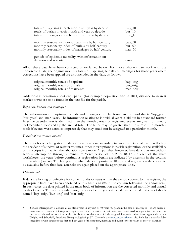| totals of baptisms in each month and year by decade                         | $bap_10$ |
|-----------------------------------------------------------------------------|----------|
| totals of burials in each month and year by decade                          | $bur_10$ |
| totals of marriages in each month and year by decade                        | $mar_10$ |
| monthly seasonality index of baptisms by half-century                       | $bap_50$ |
| monthly seasonality index of burials by half-century                        | $bur_50$ |
| monthly seasonality index of marriages by half-century                      | $mar_50$ |
| periods of epidemic mortality, with information on<br>duration and severity | Crisis   |

All of these data have been corrected as explained below. For those who wish to work with the uncorrected data, the original monthly totals of baptisms, burials and marriages for those years where corrections have been applied are also included in the data, as follows

| original monthly totals of baptisms  | bap_orig |
|--------------------------------------|----------|
| original monthly totals of burials   | bur_orig |
| original monthly totals of marriages | mar_orig |

Additional information about each parish (for example population size in 1811, distance to nearest market town) are to be found in the text file for the parish.

#### *Baptisms, burials and marriages*

The information on baptisms, burials and marriages can be found in the worksheets 'bap\_year', 'bur\_year', and 'mar\_year'. The information relating to individual years is laid out in a standard format. First the calendar year is identified, then the monthly totals of registered events are given for January to December, followed by the annual total. The latter may be greater than the sum of the monthly totals if events were dated so imprecisely that they could not be assigned to a particular month.

#### *Periods of registration covered*

The years for which registration data are available vary according to parish and type of event, reflecting the accident of survival of register volumes, other interruptions in parish registration, or the availability of transcripts from which the tabulations were made. All parishes, however, have data that run without serious interruption through a minimum 'core' period of 1662 to 1811.<sup>5</sup> On each of the three worksheets, the years before continuous registration begins are indicated by asterisks in the column representing January. The last year for which data are printed is 1839, and if registration data cease to be available before that date, asterisks are again placed on the appropriate lines.

#### *Defective data*

If data are lacking or defective for some months or years within the period covered by the register, the appropriate lines have been annotated with a hash sign  $(H)$  in the column following the annual total. In such cases the data printed in the main body of information are the corrected monthly and annual totals of events. The corresponding original totals for the years affected can be found in the worksheets named 'bap\_orig', 'bur\_orig' and 'mar\_orig'.

<sup>5</sup> 'Serious interruption' is defined as 20 blank years in any run of 40 years (30 years in the case of marriages). If any series of events suffered such an interruption, registration for all the series for that parish was considered to begin after that date. For further details and information on the distributions of dates at which the original 404 parish tabulations begin and end, see Wrigley and Schofield, *Population History of England*, p. 57. The web site [www.lpssparish.com](http://www.lpssparish.com/) also includes a downloadable spreadsheet with details of the first and last years of the baptism, marriage and burial series for each of the 404 parishes.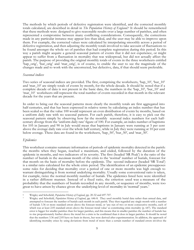The methods by which periods of defective registration were identified, and the corrected monthly totals calculated, are described in detail in *The Population History of England*. <sup>6</sup> It should be remembered that these methods were designed to give reasonable results over a large number of parishes, and often represented a compromise between many conflicting considerations. Consequently, the corrections made in any particular instance may appear less than ideal, and the user may be able to improve upon them. For example, the corrected values were calculated by interpolating smoothly across a period of defective registration, and then adjusting the monthly totals involved to take account of fluctuations to be found amongst the whole set of parishes that had complete registration during this period. In this way a parish might acquire a general seasonal pattern of events that it did not experience, or might appear to suffer from a fluctuation in mortality that was widespread, but did not actually affect the parish. The purpose of providing the original monthly totals of events in the three worksheets entitled 'bap\_orig', 'bur\_orig' and 'mar\_orig', is of course, to enable the user to see the magnitude of the changes made and to work with the uncorrected, but defective, data, if that should seem preferable.

#### *Seasonal indices*

Two series of seasonal indices are provided. The first, comprising the worksheets, 'bap\_10', 'bur\_10' and 'mar 10' are simply totals of events by month, for the whole decade. It should be noted that if a complete decade of data is not present in the basic data, the numbers in the 'bap\_10', 'bur\_10' and 'mar\_10' worksheets still represent the total number of events recorded in that month in the relevant decade for the years that are present.

In order to bring out the seasonal patterns more clearly the monthly totals are first aggregated into half-centuries, and that has been expressed in relative terms by calculating an index number that has been scaled so that the value 100 would represent an even distribution of events by months, based on a uniform daily rate with no seasonal pattern. For each parish, therefore, it is easy to pick out the seasonal pattern simply by observing how far the monthly seasonal index numbers for each halfcentury diverge from the 'uniform daily rate' figure of 100. For example, an index number of baptisms for 105 in January and 90 in July would mean that baptisms in January were running at 5 per cent above the average daily rate over the whole half century, while in July they were running at 10 per cent below average. These data are found in the worksheets, 'bap\_50', 'bur\_50', and 'mar\_50'.

#### *Epidemics*

This worksheet contains summary information of periods of epidemic mortality detected in the parish: the months when they began, reached a maximum, and ended, followed by the duration of the epidemic in months, and two indicators of its severity. The first (headed 'SR Peak') is the ratio of the number of burials in the *maximum* month of the crisis to the 'normal' number of burials, forecast for that month on the basis of mortality before the epidemic. The second indicator (headed 'SR Total') is a similar ratio calculated for the whole crisis period. The identification of an epidemic presupposes some rules for deciding that mortality over a period of one or more months was high enough to warrant distinguishing it from normal underlying mortality. Usually some conventional ratio is taken, for example, twice the normal monthly number of burials. The epidemics listed here were identified in a rather different manner. Instead of a fixed ratio, the criterion used was a measure of the probability that the numbers of burials recorded in any month, or sequence of months, were too great to have arisen by chance given the underlying level of mortality in 'normal' years. 7

<sup>6</sup> Wrigley and Schofield, *Population History of England*, pp. 20-32 and 697-707.

<sup>7</sup> Wrigley and Schofield, *Population History of England*, pp. 646-8. They used monthly burial data rather than annual data, and attempted to forecast the number of burials each month in each parish. They then regarded any single month with a number of burials 3.36 or more standard errors above the forecast trend, or 'any run of two or more consecutive months, each of which was at least 2.05 standard errors above the forecast trend value' as constituting crisis mortality (p. 647). The standard error is bigger for smaller parishes than for larger parishes, and this means that in smaller parishes the number of burials has to rise proportionately further above the trend for a crisis to be confirmed than it does in larger parishes. It should be noted that the numbers 3.36 and 2.05 have no basis in theory, but were derived after experimentation. In addition, the approach of identifying mortality crises by using deviations from trend of more than a certain number of standard errors involves the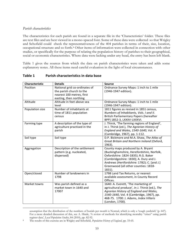#### *Parish characteristics*

The characteristics for each parish are found in a separate file in the 'Characteristics' folder. These files are text files and are best viewed in a mono-spaced font. Some of these data were collected so that Wrigley and Schofield could check the representativeness of the 404 parishes in terms of their, size, location, occupational structure and so forth.<sup>8</sup> Other items of information were collected in connection with other studies, or specifically for the purpose of relating the population history of parishes to their geographical, social or economic characteristics. Where data were lacking under any head, the entry has been left blank.

Table 1 gives the sources from which the data on parish characteristics were taken and adds some explanatory notes. All these items need careful evaluation in the light of local circumstances.

| Characteristic  | <b>Details</b>                                                                                                   | <b>Source</b>                                                                                                                                                                                                                                                   |
|-----------------|------------------------------------------------------------------------------------------------------------------|-----------------------------------------------------------------------------------------------------------------------------------------------------------------------------------------------------------------------------------------------------------------|
| Position        | National grid co-ordinates of<br>the parish church to the<br>nearest 100 metres, first<br>easting, then northing | Ordnance Survey Maps: 1 inch to 1 mile<br>(1946-1947 edition).                                                                                                                                                                                                  |
| Altitude        | Altitude in feet above sea<br>level                                                                              | Ordnance Survey Maps: 1 inch to 1 mile<br>(1946-1947 edition).                                                                                                                                                                                                  |
| Population size | Number of inhabitants at<br>time of 1811 population<br>census                                                    | 1811 figures as revised in 1851 census,<br>Numbers of Inhabitants, Vols. I and II.<br>British Parliamentary Papers (hereafter<br>BPP) 1852-3, LXXXV-LXXXVI.                                                                                                     |
| Farming type    | A description of the type of<br>agriculture practised in the<br>parish                                           | J. Thirsk, 'The farming regions of England',<br>in J. Thirsk (ed.), The Agrarian History of<br>England and Wales, 1540-1640, Vol. 4<br>(Cambridge, 1967), pp. 1-112.                                                                                            |
| Soil type       | Soil type                                                                                                        | D.P. Bickmore and M.A. Shaw, The Atlas of<br>Great Britain and Northern Ireland (Oxford,<br>1963).                                                                                                                                                              |
| Aggregation     | Description of the settlement<br>pattern (e.g. nucleated,<br>dispersed)                                          | County maps produced by A. Bryant<br>(Buckinghamshire, Herefordshire, Norfolk,<br>Oxfordshire: 1824-1835); R.G. Baker<br>(Cambridgeshire: 1830); A. Dury and J.<br>Andrews (Hertfordshire: 1782); C. [and J.]<br>Greenwood (all other counties: 1818-<br>1831). |
| Open/closed     | Number of landowners in<br>1798                                                                                  | 1798 Land Tax Returns, or nearest<br>available assessment, in County Record<br>Offices.                                                                                                                                                                         |
| Market towns    | Was parish defined as a<br>market town in 1640 and<br>1700?                                                      | 1640: A. Everett, 'The marketing of<br>agricultural produce', in J. Thirsk (ed.), The<br>Agrarian History of England and Wales,<br>1540-1640, Vol. 4 (Cambridge, 1967), pp.<br>468-75. 1700: J. Adams, Index Villaris<br>(London, 1700).                        |

#### **Table 1 Parish characteristics in data base**

assumption that the distribution of the numbers of burials per month is Normal, which is only a 'rough yardstick' (p. 647). For a more detailed discussion of this, see A. Hinde, 'A review of methods for identifying mortality "crises" using parish register data', *Local Population Studies*, 84 (2010), pp. 82-92.

<sup>8</sup> The results of this exercise are in Wrigley and Schofield, *Population History of England*, pp. 33-65.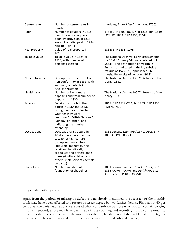| Gentry seats  | Number of gentry seats in<br>parish                                                                                                                                                                                                                                                   | J. Adams, Index Villaris (London, 1700).                                                                                                                                                                                                                    |
|---------------|---------------------------------------------------------------------------------------------------------------------------------------------------------------------------------------------------------------------------------------------------------------------------------------|-------------------------------------------------------------------------------------------------------------------------------------------------------------------------------------------------------------------------------------------------------------|
| Poor          | Number of paupers in 1818,<br>description of adequacy of<br>poor law provision in 1818,<br>amount of relief paid in 1784<br>and 1832 (in £)                                                                                                                                           | 1784: BPP 1803-1804, XIII; 1818: BPP 1819<br>(224) IX; 1832: BPP 1835, XLVII                                                                                                                                                                                |
| Real property | Value of real property in<br>1815                                                                                                                                                                                                                                                     | 1832: BPP 1835, XLVII                                                                                                                                                                                                                                       |
| Taxable value | Taxable value in 1524 or<br>1525, with number of<br>persons assessed                                                                                                                                                                                                                  | The National Archive, E179; assessments<br>for 15 & 16 Henry VIII, as tabulated in J.<br>Sheail, 'The distribution of wealth in<br>England as indicated in the lay subsidy<br>returns of 1524/5' (unpublished Ph. D.<br>thesis, University of London, 1968) |
| Nonconformity | Description of the extent of<br>non-conformity in 1831, with<br>summary of defects in<br>Anglican registers                                                                                                                                                                           | The National Archive HO 71 Returns of the<br>clergy, 1831.                                                                                                                                                                                                  |
| Illegitimacy  | Number of illegitimate<br>baptisms and total number of<br>baptisms in 1830                                                                                                                                                                                                            | The National Archive HO 71 Returns of the<br>clergy, 1831.                                                                                                                                                                                                  |
| Schools       | Details of schools in the<br>parish in 1830 and 1833,<br>listing them according to<br>whether they were<br>'endowed', 'British National',<br>'Sunday' or 'other', and<br>indicating the numbers<br>attending                                                                          | 1818: BPP 1819 (224) IX; 1833: BPP 1835<br>(62) XLI-XLII.                                                                                                                                                                                                   |
| Occupations   | Occupational structure in<br>1831 in broad occupational<br>categories (agriculture<br>(occupiers), agricultural<br>labourers, manufacturing,<br>retail and handicraft,<br>capitalists and professionals,<br>non-agricultural labourers,<br>others, male servants, female<br>servants) | 1831 census, Enumeration Abstract, BPP<br>1835 XXXVI - XXXVII                                                                                                                                                                                               |
| Chapelries    | Number and date of<br>foundation of chapelries                                                                                                                                                                                                                                        | 1831 census, Enumeration Abstract, BPP<br>1835 XXXVI - XXXVII and Parish Register<br>Abstracts, BPP 1833 XXXVIII                                                                                                                                            |

#### **The quality of the data**

Apart from the periods of missing or defective data already mentioned, the accuracy of the monthly totals may have been affected to a greater or lesser degree by two further factors. First, about 60 per cent of all the parish tabulations were based wholly or partly on transcripts, which can contain copying mistakes. Second, errors may have been made in the counting and recording. It is also important to remember that, however accurate the monthly totals may be, there is still the problem that the figures relate to church ceremonies and not to the vital events of birth, death and marriage.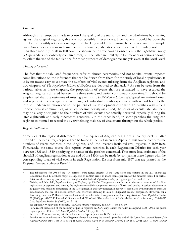#### *Precision*

Although an attempt was made to control the quality of the transcripts and the tabulations by checking against the original registers, this was not possible in every case. Even where it could be done the number of monthly totals was so large that checking could only reasonably be carried out on a sample basis. Since perfection in such matters is unattainable, tabulations were accepted providing not more than three monthly totals in 100 could be shown to be erroneous.<sup>9</sup> Consequently the *Population History of England* data undoubtedly contain errors, but the latter are unlikely to be frequent or serious enough to vitiate the use of the tabulations for most purposes of demographic analysis even at the local level.

#### *Missing vital events*

The fact that the tabulated frequencies refer to church ceremonies and not to vital events imposes some limitations on the inferences that can be drawn from them for the study of local populations. It is by no means easy to estimate the numbers of vital events missing from the Anglican registers, and two chapters of *The Population History of England* are devoted to this task. <sup>10</sup> As can be seen from the various tables in these chapters, the proportions of events that are estimated to have escaped the Anglican registers differed between the three series, and varied considerably over time. <sup>11</sup> It should be emphasised that the estimates of missing events in *The Population History of England* are national ones, and represent the average of a wide range of individual parish experiences with regard both to the level of under-registration and to the pattern of its development over time. In parishes with strong nonconformist communities, or which became heavily urbanised, the totals of events tabulated here may be a very poor guide to the numbers of vital events that actually occurred, especially during the later eighteenth and early nineteenth centuries. On the other hand, in some parishes the Anglican registers continued to record the overwhelming majority of vital events throughout the whole period.<sup>12</sup>

#### *Regional differences*

Some idea of the regional differences in the adequacy of Anglican registers at county level just after the end of the parish register period can be found in the Parliamentary Papers.<sup>13</sup> This source compares the numbers of events recorded in the Anglican, and the recently instituted civil, registers in 1839-1840. Fortunately, the same source also reports events recorded in each Registration District for each year between 1831 and 1840; specifying the names of the parishes concerned. Thus more local estimates of the shortfall of Anglican registration at the end of the 1830s can be made by comparing these figures with the corresponding totals of vital events in each Registration District from mid-1837 that are printed in the Registrar General's *Annual Reports.*<sup>14</sup>

<sup>9</sup> The tabulations for 203 of the 404 parishes were tested directly. If the same error rate obtains in the 201 unchecked tabulations, then 13 of these might be expected to contain errors in more than 3 per cent of the monthly totals. For further details of the checking procedure, see Wrigley and Schofield, *Population History of England*, pp. 16-8 and 694-6.

<sup>10</sup> Wrigley and Schofield, *Population History of England*, pp. 89-154. The general view is during the early centuries of Anglican registration of baptisms and burials, the registers were fairly complete as records of births and deaths. A serious deterioration in quality only made its appearance in the late eighteenth and early nineteenth centuries, associated with population increase, urbanisation, the rise of nonconformity, and overwork (leading to lack of diligence) among clergymen. However, for a dissenting view, see P. Razzell, 'An evaluation of the reliability of Anglican adult burial registration', *Local Population Studies*, 77 (2006), pp. 42-57; P. Razzell, C. Spence and M. Woollard, 'The evaluation of Bedfordshire burial registration, 1538-1851', *Local Population Studies*, 84 (2010), pp. 31-54.

<sup>11</sup> See especially Wrigley and Schofield, *Population History of England*, Table A4.1, pp. 537-60<br><sup>12</sup> For a recent discussion of the accuracy of parish registers, see C. Galley, Infant mortality

<sup>12</sup> For a recent discussion of the accuracy of parish registers, see C. Galley, 'Infant mortality in England, 1538–2000: the parish register period, 1538–1837', *Local Population Studies*, 103, pp. 104-14.

<sup>13</sup> Reports of Commissioners, British Parliamentary Papers (hereafter BPP) 1845 XXV.

<sup>14</sup> For the early annual reports of the Registrar General covering the period up to the end of 1840, see *First Annual Report of the Registrar General*, BPP 1839 XVI (187) 1; *Second Annual Report of the Registrar General*, BPP 1840 XVII (263) 1; *Third Annual*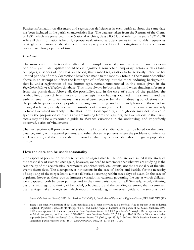Further information on dissenters and registration deficiencies in each parish at about the same date has been included in the parish characteristics files. The data are taken from the Returns of the Clergy of 1831, which are preserved in the National Archive, class HO 71, and refer to the years 1821-1830. While all this information is helpful, a proper evaluation of any deficiencies in the monthly frequencies of Anglican ceremonies tabulated here obviously requires a detailed investigation of local conditions over a much longer period of time.

#### *Limitations*

The more enduring factors that affected the completeness of parish registration such as nonconformity and late baptism should be distinguished from other, temporary factors, such as tornout pages, absences of the vicar and so on, that caused registration to be seriously defective for limited periods of time. Corrections have been made to the monthly totalsin the manner described above in an attempt to offset the latter type of deficiency, but the more enduring background, that is, under-registration of the former type, remain uncorrected in the totals given in the *Population History of England* database. This must always be borne in mind when drawing inferences from the parish data. Above all, the possibility, and in the case of some of the parishes the probability, of very different levels of under-registration having obtained in the sixteenth and the early nineteenth centuries means that special care needs to be taken in drawing conclusions from the parish frequencies about population changesin the long run.Fortunately however, these factors changed relatively slowly, so that the numbers of missing events due to these causes are unlikely to have fluctuated markedly in the short term. Consequently, although one may not be able to specify the proportion of events that are missing from the registers, the fluctuations in the parish totals may still be a reasonable guide to *short-run* variations in the underlying, and imperfectly observed, series of vital events.

The next section will provide remarks about the kinds of studies which can be based on the parish data, beginning with seasonal patterns, and other short-run patterns where the problems of inference are less severe, and then proceeding to consider what may be concluded about long-run population change.

#### **How the data can be used: seasonality**

One aspect of population history to which the aggregative tabulations are well suited is the study of the seasonality of events. Once again, however, we need to remember that what we are studying is the seasonality of the ecclesiastical ceremonies associated with vital events, not the seasonality of the vital events themselves. The discrepancy is not serious in the case of deaths and burials, for the necessity of disposing of the corpse led to almost all burials occurring within three days of death. In the case of baptisms, however, there was an immense variation in customs governing the age at which children were baptised, both between parishes and in the same parish over time.<sup>15</sup> Similarly, widely differing customs with regard to timing of betrothal, cohabitation, and the wedding ceremony that solemnised the marriage make the registers, which record the wedding, an uncertain guide to the seasonality of

*Report of the Registrar General*, BPP 1841 Session 2 VI (345) 1; *Fourth Annual Report of the Registrar General*, BPP 1842 XIX (423) 1.

<sup>15</sup> There is an extensive literature about baptismal delay. See B. Midi Berry and R.S. Schofield, 'Age at baptism in pre-industrial England', *Population Studies*, 25 (1971), pp. 453-63; M.J. Saxby, 'Ages at baptism in the parish of All Saints, Sudbury, 1809– 1828: a new approach to their interpretation', *Local Population Studies*, 70 (2003), pp. 49–56; A. Wright, 'Birth-baptism intervals in Whickham parish, Co. Durham c. 1770–1820', *Local Population Studies*, 77 (2003), pp. 81–7; S. Brush, 'When were babies baptised? Some Welsh evidence', *Local Population Studies*, 72 (2004), pp. 83–7; J. Perkins, 'Birth baptism intervals in 68 Lancashire parish registers, 1646–1917', *Local Population Studies*, 85 (2010), pp. 11–27.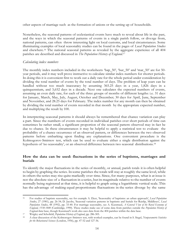other aspects of marriage such as the formation of unions or the setting up of households.

Nonetheless, the seasonal patterns of ecclesiastical events have much to reveal about life in the past, and the ways in which the seasonal patterns of events in a single parish follow, or diverge from, national patterns, can often throw interesting light on local customs, and local circumstances. Some illuminating examples of local seasonality studies can be found in the pages of *Local Population Studies* and elsewhere. *<sup>16</sup>* The national seasonal patterns as revealed by the aggregate experience of all 404 parishes are described and discussed in *The Population History of England.*<sup>17</sup>

#### *Calculating index numbers*

The monthly index numbers included in the worksheets 'bap\_50', 'bur\_50' and 'mar\_50' are for 50 year periods, and it may well prove instructive to calculate similar index numbers for shorter periods. In doing this it is convenient first to work out a daily rate for the whole period under consideration by dividing the total number of events by the total number of days. The problem of leap years can be handled without too much inaccuracy by assuming 365.25 days in a year, 1,826 days in a quinquennium, and 3,652 days in a decade. Next one calculates the expected numbers of events, assuming an even daily rate, for each of the three groups of months of different lengths: i.e. 31 days for January, March, May, July, August, October and December; 30 days for April, June, September and November, and 28.25 days for February. The index number for any month can then be obtained by dividing the total number of events recorded in that month by the appropriate expected number, and multiplying the result by 100.

In interpreting seasonal patterns it should always be remembered that chance variation can play a part. Since the numbers of events recorded in individual parishes over short periods of time can sometimes be rather small, a significant proportion of the seasonal pattern observed may in fact be due to chance. In these circumstances it may be helpful to apply a statistical test to evaluate the probability of a chance occurrence of an observed pattern, or differences between the two observed patterns before embarking upon finding any explanations. One convenient procedure is the Kolmogorov-Smirnov test, which can be used to evaluate either a single distribution against the hypothesis of 'no seasonality', or an observed difference between two seasonal distributions.<sup>18</sup>

#### **How the data can be used: fluctuations in the series of baptisms, marriages and burials**

To identify the major fluctuations in the series of monthly, or annual, parish totals it is often helpful to begin by graphing the series. In some parishes the totals will stay at roughly the same level, while in others the series may rise quite markedly over time. Since, for many purposes, what is at issue is not the absolute size of a fluctuation in a series, but its magnitude relative to the number of events normally being registered at that time, it is helpful to graph using a logarithmic vertical scale. This has the advantage of making equal proportionate fluctuations in the series diverge by the same

<sup>16</sup> For studies of baptism seasonality, see for example A. Dyer, 'Seasonality of baptisms: an urban approach', *Local Population Studies*, 27 (1981), pp. 26-34; D. Jacobs, 'Seasonal variation patterns in baptisms and burials for Ruislip, Middlesex', *Local Population Studies*, 48 (1992), pp. 33-40. For marriage seasonality, see A. Kussmaul, *A General View of the Rural Economy of England, 1538-1840* (Cambridge, 1990). These studies make use of some data from parishes outside the *Population History of England* data base, though Kussmaul's work also uses data from the 404 parishes within the data base.

<sup>17</sup> Wrigley and Schofield, *Population History of England*, pp. 286-305.

<sup>18</sup> A clear discussion of the Kolmorogov-Smirnov test, with worked examples, can be found in S. Siegel, *Nonparametric Statistics for the Behavioural Sciences* (London, 1956), pp. 47-52 and 127-36.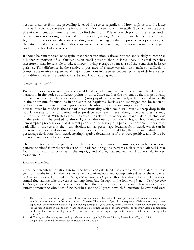vertical distance from the prevailing level of the series regardless of how high or low the latter may be. In this way the eye can pick out the major fluctuations quite easily. To calculate the actual size of the fluctuations one first needs to find the 'normal' level at each point in the series, and a convenient way of doing this is to calculate a moving average.<sup>19</sup> The difference between the original figures in the series and the corresponding moving average is then expressed as a percentage of the latter. That is to say, fluctuations are measured as percentage deviations from the changing background level of the series.

It should be remembered, once again, that chance variation is always present, and is likely to comprise a higher proportion of all fluctuations in small parishes than in large ones. For small parishes, therefore, it may be sensible to take a longer moving average as a measure of the trend than in larger parishes. This difference in the relative importance of chance variation also makes it difficult to compare the relative frequencies of major fluctuations in the series between parishes of different sizes, or at different dates in a parish with substantial population growth.

#### *Comparing variability*

Providing population sizes are comparable, it is often instructive to compare the degree of variability in the series at different points in time. Since neither the systematic factors producing under-registration (such as nonconformity) nor population size are likely to have varied markedly in the short-run, fluctuations in the series of baptisms, burials and marriages can be taken to reflect fluctuations in the vital processes of fertility, mortality and nuptiality. An exception, of course, must be made in the case of heavy mortality which could well cause a sharp drop in the population size for a short period and so produce fewer events, even though the vital rates instantly returned to normal. With this caveat, however, the relative frequency and magnitude of fluctuations in the series can be studied to throw light on the question of how stable, or how variable, the demographic processes were at different periods in the history of a parish. A convenient measure of variability in the series is the mean absolute annual percentage deviation from trend, which can be calculated on a decadal or quarter-century basis. To obtain this, add together the individual annual percentage deviations from trend, treating negative deviations as if they were positive, and divide by the total number of observations.

The results for individual parishes can then be compared among themselves, or with the national patterns obtained from the whole set of 404 parishes, or regional patterns such as those Michael Drake found in his study of parishes in the Agbrigg and Morley wapentakes near Huddersfield in west Yorkshire.<sup>20</sup>

#### *Extreme fluctuations*

Once the percentage deviations from trend have been calculated, it is a simple matter to identify those years or months in which the most extreme fluctuations occurred. Comparative data for the whole set of 404 parishes can be found in *The Population History of England*, though it should be noted that these annual fluctuations take the year as running from July through to the following June.<sup>21</sup> *The Population History of England* identifies the 20 years in which fluctuations *above* the trend in each series were most extreme among the whole set of 404 parishes, and the 20 years in which fluctuations below trend were

<sup>&</sup>lt;sup>19</sup> The moving average for any given month, or year, is calculated by taking the average number of events in a sequence of months or years centred on the month or year of interest. The number of years in the sequence will depend on the particular application, but for annual data an 11-point moving average is a good starting point. This would mean computing the average for the year in question plus the five years either side. Note that the use of moving averages for monthly data is complicated by the existence of seasonal patterns (it is wise to compute moving averages with monthly totals adjusted using index numbers).

<sup>20</sup> M. Drake, 'An elementary exercise in parish register demography', *Economic History Review*, 14 (1962), pp. 126-46.<br><sup>21</sup> Whichar and Schofield, *Detailation History of Eureland* 20, 220, 22

<sup>21</sup> Wrigley and Schofield, *Population History of England*, pp. 320-32.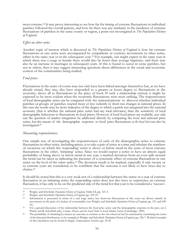most extreme.<sup>22</sup> It may prove interesting to see how far the timing of extreme fluctuations in individual parishes followed the overall pattern, and how far there was any similarity in the incidence of extreme fluctuations of parishes in the same county or region, a point not investigated in *The Population History of England*.

#### *Effect on other series*

Another topic of interest which is discussed in *The Population History of England* is how far extreme fluctuations in one series were accompanied by sympathetic or contrary movements in other series, either in the same year or in the subsequent year.<sup>23</sup> For example, one might expect in the same year in which there was a surge in burials there would also be fewer than average baptisms, and there may also be an increase in marriages in subsequent years. If this is found to occur in some parishes, but not in others, then it may suggest interesting questions about differences in the social and economic context of the communities being studied.

#### *Food prices*

Fluctuations in the series of events may not only have been linked amongst themselves but, as we have already noted, they may also have responded to a greater or lesser degree to fluctuations in the economy, above all to fluctuations in the price of food. If such a relationship existed, it might be expected to be most evident when the economic fluctuations were most striking. The responsiveness of local demographic series can be compared with the national picture to discover whether individual parishes or groups of parishes reacted more or less violently to short-run changes in national prices. In this case the results may be more indicative of the degree to which a parish was integrated into the national economy (that is whether the national price series had any local relevance) than the sensitivity of local demographic behaviour to fluctuations in food prices. However, if local food prices are available, not only can the question of market integration be addressed directly by comparing the local and national price series, but the nature of the demographic response to food price fluctuations *at the local level* can also be investigated.<sup>24</sup>

#### *Measuring responsiveness*

One simple way of investigating the responsiveness of each of the demographic series to extreme fluctuations in other series, including prices, is to take a pair of series at a time and tabulate the numbers of occasions on which the 'responding' series is above or below trend in the years of most extreme fluctuations in the other, 'initiating' series. Since we would expect a series to have an almost equal probability of being above or below trend in any year, a marked deviation from an even split around the trend can be taken as indicating the presence of a systematic effect of extreme fluctuations in one series on the level of the other series.<sup>25</sup> The deviation needs to be marked, especially if only twenty or so extreme years are considered, to be confident that the outcome is not likely to have been due to chance. 26

It should be noted that this is a very weak test of a relationship between the series: in a year of extreme fluctuation in an initiating series the responding series does not also have to experience an extreme fluctuation, it has only to be on the predicted side of the trend for that year to be considered a 'success'.

<sup>&</sup>lt;sup>22</sup> Wrigley and Schofield, *Population History of England*, Table 8.8, pp. 321-4.<br><sup>23</sup> Wrigley and Schofield, *Population History of England*, pp. 325–32.

<sup>23</sup> Wrigley and Schofield, *Population History of England*, pp. 325-32.

<sup>&</sup>lt;sup>24</sup> Information is presented in terms of a real wage series, but short-run fluctuations in this series are driven entirely by movements in the price of a basket of consumables (see Wrigley and Schofield, *Population History of England*, pp. 321 and 638- 41).

<sup>&</sup>lt;sup>25</sup> For a general discussion of the relationship between the food price series and the demographic response in the past, see J. Walter and R. Schofield (eds), *Famine, Disease and the Social Order in Early Modern Society* (Cambridge, 1989).

<sup>&</sup>lt;sup>26</sup> The probability of obtaining by chance an outcome as extreme as the one observed can be estimated by cumulating the terms of the binomial distribution, as for example in Wrigley and Schofield, *Population History of England*, pp. 326-7. Worked examples of this calculation can be found in Siegel, *Nonparametric Statistics*, pp. 36-42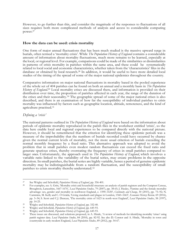However, to go further than this, and consider the magnitude of the responses to fluctuations of all sizes requires both more complicated methods of analysis and access to considerable computing power.<sup>27</sup>

#### **How the data can be used: crisis mortality**

One form of major annual fluctuations that has been much studied is the massive upward surge in burials, often termed a 'mortality crisis'. While *The Population History of England* contains a considerable amount of information about mortality fluctuations, much more remains to be learned, especially at the local, or regional level. For example, comparisons could be made of the similarities or dissimilarities in patterns of crisis mortality in parishes within the same area, and these could be systematically related to local social and economic characteristics, whether taken from the 'characteristics' files in the database or obtained by local research.<sup>28</sup> In addition, it would be useful to have more detailed local studies of the timing of the spread of some of the major national epidemics throughout the country.

Comparative information on major national fluctuations in mortality based in the pooled experience of the whole set of 404 parishes can be found on both an annual and a monthly basis in *The Population*  History of England.<sup>29</sup> Local mortality crises are discussed there, and information is provided on their distribution over time, the proportion of parishes affected in each year, the range of the duration of the crises and their seasonality.<sup>30</sup> The geographic spread of some of the major national crises is also described, and there is an examination of how far the susceptibility of individual parishes to crisis mortality was influenced by factors such as geographic location, altitude, remoteness, and the kind of agriculture practised.<sup>31</sup>

#### *Defining a 'crisis'*

The national patterns outlined in *The Population History of England* were based on the information about periods of epidemic mortality reproduced in the parish files in the worksheet entitled 'crisis', so the data here enable local and regional experiences to be compared directly with the national picture. However, it should be remembered that the criterion for identifying these epidemic periods was a measure of the improbability that the numbers of burials recorded could have occurred by chance given the normal current levels of mortality, not the more usual criterion of burials exceeding the normal monthly frequency by a fixed ratio. This alternative approach was adopted to avoid the problem that in small parishes even modest random fluctuations can exceed the fixed ratio and generate spurious crises, thereby overstating the frequency of crises in small parishes compared to larger ones. Unfortunately, the approach used in *The Population History of England*, which involves a variable ratio linked to the variability of the burial series, may create problems in the opposite direction. In small parishes, the burial series are highly variable, hence a period of genuine epidemic mortality may be indistinguishable from a random fluctuation, and the susceptibility of small parishes to crisis mortality thereby understated.<sup>32</sup>

<sup>27</sup> See Wrigley and Schofield, *Population History of England*, pp. 356-401.<br>28 For examples see A. Critt, Mortelity grise and household eterminary

<sup>28</sup> For examples, see A. Gritt, 'Mortality crisis and household structure: an analysis of parish registers and the Compton Census, Broughton, Lancashire, 1667-1676', *Local Population Studies*, 79 (2007), pp. 38-65; J. Healey, 'Famine and the female mortality advantage: sex, gender and mortality in northwest England, c. 1590–1630', *Continuity and Change*, 30 (2015), pp. 75–92; N. Cummins, M. Kelly and C. Ó Gráda, 'Living standards and plague in London, 1560–1665', *Economic History Review,* 69 (2016), pp. 3–34; S. Scott and C.J. Duncan, 'The mortality crisis of 1623 in north-west England', *Local Population Studies*, 58 (1997), pp. 14-25.

<sup>&</sup>lt;sup>29</sup> Wrigley and Schofield, *Population History of England*, pp. 332-40.<br><sup>30</sup> Wrigley and Schofield, *Population History of England*, pp. 645-93.

<sup>30</sup> Wrigley and Schofield, *Population History of England*, pp. 645-93.

<sup>31</sup> Wrigley and Schofield, *Population History of England*, pp. 645-93.

These issues are discussed, and solutions proposed, in A. Hinde, 'A review of methods for identifying mortality 'crises' using parish register data. *Local Population Studies*, 84 (2010), pp. 82-92. See also D. Connor and A. Hinde, 'Mortality in town and countryside in early modern England, *Local Population Studies*, 89 (2012), pp. 54-67.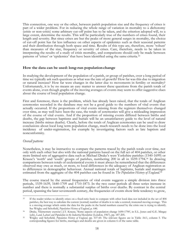This connection, one way or the other, between parish population size and the frequency of crises is part of a wider problem. For in reducing the whole range of variation in mortality to a dichotomy (crisis or non-crisis) some arbitrary cut-off point has to be taken, and the criterion adopted will, to a large extent, determine the results. This will be particularly true of the numbers of crises found, their length and severity. But since crises are but the peaks of more general surges in mortality, the choice of cut-off point has far less influence on other aspects of epidemics such as their seasonal patterns and their distribution through both space and time. Results of this type are, therefore, more 'robust' than measures of the size, frequency or severity of crises. Care, therefore, needs to be taken in interpreting the results of a study of crisis mortality, and comparisons should only be made between patterns of 'crises' or 'epidemics' that have been identified using the same criteria.<sup>33</sup>

#### **How the data can be used: long-run populationchange**

In studying the development of the population of a parish, or group of parishes, over a long period of time we typically ask such questions as what was the rate of growth? How far was this due to migration or natural increase? How far were changes in the latter due to movements in fertility or mortality? Unfortunately, it is by no means an easy matter to answer these questions from the parish totals of events alone, even though graphs of the moving averages of events may seem to offer suggestive clues about the course of local population change.

First and foremost, there is the problem, which has already been raised, that the totals of Anglican ceremonies recorded in the database may not be a good guide to the numbers of vital events that actually occurred. If the proportions of vital events missing from the registers themselves changed over time, as may well have been the case, the totals of ceremonies will give a misleading impression of the course of vital events. And if the proportion of missing events differed between births and deaths, the gap between baptisms and burials will be an unsatisfactory guide to the level of natural increase (births minus deaths). Clearly, before the totals of Anglican ceremonies can be used to draw conclusions about local long term population change, much research needs to be done into the local incidence of under-registration, for example by investigating factors such as late baptism and nonconformity.

#### *Overall patterns*

Nonetheless, it may be instructive to compare the patterns traced by the parish totals over time, not only with each other but also with the national patterns based on the full set of 404 parishes, or other more limited sets of aggregative data such as Michael Drake's west Yorkshire parishes (1540-1699) or Krause's 'north' and 'south' groups of parishes, numbering 200 in all in 1659-1794.<sup>34</sup> In drawing comparisons between totals of ecclesiastical events it must always be remembered that the differences observed may owe as much, or more, to local differences in the adequacy of Anglican registration as to differences in demographic behaviour. Annual national totals of baptisms, burials and marriages estimated from the aggregate of the 404 parishes can be found in *The Population History of England.*<sup>35</sup>

The course traced by the annual frequencies of vital events suggests a simple division into three periods, 1539-1639, 1640-1709 and 1710-1873. In the two outer periods all three series increase in number and there is normally a substantial surplus of births over deaths. By contrast in the central period, spanning the later seventeenth century, the frequencies of events show little tendency to grow,

<sup>33</sup> If the reader wishes to identify crises on a fixed-ratio basis to compare with other local data not included in the set of 404 parishes, the best way to calculate the current (normal) number of deaths is to take a centred, truncated moving average. This is a moving average which omits the data for the peaks in the burial numbers caused by the crisis one is trying to identify. See Wrigley and Schofield, *Population History of England*, p. 646.

<sup>34</sup> Drake, 'Elementary exercise'; J.T. Krause, 'Some aspects of population change 1690-1790', in E.L. Jones and G.E. Mingay (eds), *Land, Labour and Population in the Industrial Revolution* (London, 1967), pp. 187-205.

<sup>35</sup> Wrigley and Schofield, *Population History of England*, pp. 537-60. The relevant figures are in Table A4.1, column 5. The corresponding figures for births, marriages and deaths are given in column 6 of the same table.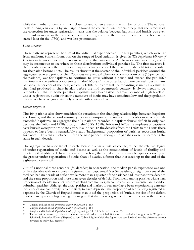while the number of deaths is much closer to, and often exceeds, the number of births. The national totals of Anglican events by and large followed the course of vital events except that the removal of the correction for under-registration means that the balance between baptisms and burials was even more unfavourable in the later seventeenth century, and that the upward movement of both series started later (in the 1730s), and was less pronounced.

#### *Local variation*

These patterns represent the sum of the individual experiences of the 404 parishes, which were far from uniform. Some information on the range of local variation is given in *The Population History of England* in terms of two summary measures of the patterns of Anglican events over time, and it may be instructive to see where in these distributions individual parishes lie. The first measure is the decade in which the number of baptisms first exceeded the maximum decadal total recorded for the parish before 1660. The results show that the scatter of the individual parishes around the aggregate recovery point of the 1730s was very wide.36The most common outcome (15 per cent of the parishes) was for baptisms to continue to grow without a pause and exceed the pre-1660 maximum at the earliest opportunity (in the 1660s). On the other hand, there were almost as many parishes, 14 per cent of the total, which by 1800-1809 were still not recording as many baptisms as they had produced in their heyday before the mid seventeenth century. It always needs to be remembered that in some parishes baptisms may have failed to grow because of high levels of under-registration, but inothers the numbers of births may have remained low and the population may never have regained its early seventeenth century level.

#### *Burial surpluses*

The 404 parishes also show considerable variation in the changing relationships between baptisms and burials, and the second summary measure comprises the number of decades in which burials exceeded baptisms. In aggregate the 404 parishes recorded a baptism/burial deficit in only two decades, the 1680s and 1720s, though in the 1550s, 1650s, 1660s and 1670s the surpluses of baptisms over burials were proportionately very lowindeed.In the decadesfrom the1560s to the 1780s there appears to have been a remarkably steady 'background' proportion of parishes recording burial surpluses.<sup>37</sup> This ran at between three and nine per cent, though the parishes were by no means the same in each decade.

The aggregative balance struck in each decade in a parish will, of course, reflect the relative degree of under-registration of births and deaths as well as the combination of levels of fertility and mortality that obtained. In some cases, therefore, the burial surpluses may be spurious owing to the greater under-registration of births than of deaths, a factor that increased up to the end of the eighteenth century.<sup>38</sup>

Out of a notional three centuries (30 decades) in observation, the median parish experience was one of five decades with more burials registered than baptisms.<sup>39</sup> Yet 34 parishes, or eight per cent of the total set, had no decade of deficit, while more than a quarter of the parishes had less than three decades and the same proportion had more than seven decades of deficit. Prominent among parisheswith a high proportion of decades in deficit were marshland communities, market towns, and city-centre and London suburban parishes. Although the urban parishes and market towns may have been experiencing a greater incidence of nonconformity, which is likely to have depressed the proportion of births being registered as baptisms by the Church of England more than it did the proportion of burials, the size of the deficits involved are generally large enough to suggest that there was a genuine difference between the balance

<sup>36</sup> Wrigley and Schofield, *Population History of England*, p. 163.

<sup>37</sup> Wrigley and Schofield, *Population History of England*, p. 164.

<sup>38</sup> Wrigley and Schofield, *Population History of England*, pp. 140-1 (Table 5.27, column 4).

The variation between parishes in the numbers of decades in which deficits were recorded is brought out in Wrigley and Schofield, *Population History of England*, p. 166 (Table 6.3), in which the figures are standardised for the different periods covered by individual registers.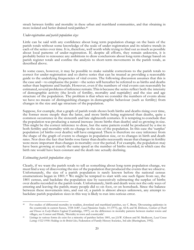struck between fertility and mortality in these urban and marshland communities, and that obtaining in more isolated and better drained rural parishes.<sup>40</sup>

#### *Under-registration and parish population sizes*

Little can be said with any confidence about long term population change on the basis of the parish totals without some knowledge of the scale of under-registration and its relative trends in each of the series over time. It is, therefore, well worth while trying to find out as much as possible about local patterns of under-registration. If, despite all efforts, they remain unknown, it is probably better to renounce any ambitions to draw conclusions about long-term change based on parish register totals and confine the analysis to short-term movements in the parish totals, as described above.

In some cases, however, it may be possible to make suitable corrections to the parish totals to correct for under-registration and so derive series that can be treated as providing a reasonable guide to the underlying frequencies of vital events. The following discussion assumes that this is the case and⸺to emphasise the point⸺the series will hereafter be referred to as births and deaths rather than baptisms and burials. However, even if the numbers of vital events can reasonably be estimated, several problems of inference remain. This is because the series reflect both the intensity of demographic activity (the levels of fertility, mortality and nuptiality) and the size and age structure of the population. The problem is that when we consider the numbers of events alone we have no means of distinguishing changes in demographic behaviour (such as fertility) from changes in the size and age structure of the population.

Suppose, for example, that a graph of parish totals shows both births and deaths rising over time, the former more steeply than the latter, and more births being registered than deaths, quite a common occurrence in the sixteenth and late eighteenth centuries. It is tempting to conclude that the population was producing a natural increase (more births than deaths) and so growing in size. This might be the correct inference to draw, but the same pattern could be produced by a rise in both fertility and mortality with no change in the size of the population. In this case the 'surplus' population (of births over deaths) will have emigrated. There is therefore no easy inference from the shape of the graph of events to changes in population size, or to changes in birth and death rates. Nor does the fact that births rose faster than deaths necessarily mean that changes in fertility were more important than changes in mortality over the period. For example, the population may have been growing at exactly the same speed as the number of births recorded, in which case the birth rate would have been constant and the death rate actually declining.

#### *Estimating parish population sizes*

Clearly, if we want the parish totals to tell us something about long-term population change, we mustfind away of discovering the size of the population that produced the events that we observe. Unfortunately, the size of a parish population is rarely known before the national census enumerations began in 1801.<sup>41</sup> We might be tempted to start with one such figure from say, the 1801 census, and backdate the population size by successively subtracting the surplus of births over deaths recorded in the parish totals. Unfortunately, birth and death were not the only ways of entering and leaving the parish; many people did so on foot, or on horseback. Since the balance between these movements into, and out of, a parish is almost always unknown, any attempt to backdate parish population sizes in this way is likely to run into serious error.

<sup>40</sup> For studies of differential mortality in wealden, downland and marshland parishes, see C. Brent, 'Devastating epidemics in the countryside in eastern Sussex, 1558-1640', *Local Population Studies*, 14 (1975), pp. 42-8; and M. Dobson, *Contours of Death and Disease in Early-Modern England* (Cambridge, 1997); on the differences in mortality patterns between market towns and villages, see Connor and Hinde, 'Mortality in town and countryside'.

<sup>41</sup> Listings in various forms do exist for a minority of parishes before 1801, see J.S.W. Gibson and M. Medlycott, *Local Census Listings 1522-1930: Holdings in the British Isles,* Federation of Family History Societies, 3rd edn (Sheringham, 1992).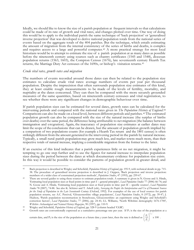Ideally, we should like to know the size of a parish population at frequent intervals so that calculations could be made of its rate of growth and vital rates, and changes plotted over time. One way of doing this would be to apply to the individual parish the same technique of 'back projection' or 'generalised inverse projection' that was developed to derive national population totals from the national series of events based on the aggregate totals of the 404 parishes. But the technique, which entails estimating the amount of migration from the internal consistency of the series of births and deaths, is complex and requires access to a large and powerful computer.<sup>42</sup> A more practical strategy for most local historians would be to attempt to estimate the size of a parish population at as many dates as possible before the nineteenth century using sources such as chantry certificates (1545 and 1548), diocesan population returns (1563, 1603), the Compton Census (1676), late seventeenth century Hearth Tax returns, the Marriage Duty Act censuses of the 1690s, or bishop's visitation returns.<sup>43</sup>

#### *Crude vital rates, growth rates and migration*

The numbers of events recorded around those dates can then be related to the population size estimates to calculate crude vital rates: average numbers of events per year per thousand population. Despite the imprecision that often surrounds population size estimates of this kind, they at least enable rough measurements to be made of the levels of fertility, mortality, and nuptiality at the dates concerned. They can then be compared with the more securely grounded measures of the same quantities, based on nineteenth century censuses and vital registration, to see whether there were any significant changes in demographic behaviour over time.

If parish population sizes can be estimated for several dates, growth rates can be calculated for the intervening periods and compared with the national rates given in *The Population History of England*. 44 Comparisons can also be made on a local level, between different periods and parishes.<sup>45</sup> The estimated population growth can also be compared with the size of the natural increase (the surplus of births over deaths) over the same period, the difference being attributable to net migration (the balance between immigration and emigration). Again, the inaccuracy of population size estimates at earlier dates may limit the scope of the conclusions that can be drawn, but the amount of population growth implied by a comparison of two populations counts (for example a Hearth Tax return and the 1801 census) is often strikingly different from the amount generated in the intervening period in the parish by natural increase. Typically, a small rural parish populationmay grow much less, and market towns much more, than their respective totals of natural increase, implying a considerable migration from the former to the latter.

If an exercise of this kind indicates that a parish experiences little or no net migration, it might be tempting to go one step further and to use the figures for natural increase to interpolate population sizes during the period between the dates at which documentary evidence for population size exists. In this way it would be possible to consider the patterns of population growth in greater detail, and

<sup>42</sup> Back projection is described in Wrigley and Schofield, *Population History of England*, pp. 195-9, with technical details in pp. 715- 38. The procedure of generalised inverse projection is described in J. Oeppen, 'Back projection and inverse projection: members of a wider class of constrained projection methods', *Population Studies*, 47 (1993), pp. 259-67.

<sup>&</sup>lt;sup>43</sup> There are several guides to using these sources to estimate population totals. A summary is given in N. Goose and A. Hinde, 'Estimating local population sizes at fixed points in time: part I – general principles', *Local Population Studies* 77 (2006) 66-74; and N. Goose and A. Hinde, 'Estimating local population sizes at fixed points in time: part II – specific sources', *Local Population Studies* 78 (2007), 74-88. See also K. Schürer and T. Arkell (eds), *Surveying the People: the Interpretation and Use of Document Sources for the Study of Population in the Late Seventeenth Century* (Oxford, 1992). For examples of the use of local sources for parish population returns, see A.C. Percival, 'Gloucestershire village populations', *Local Population Studies*, 8 (1972), pp. 39-47; J. Hudson, 'Parish population reconstruction in Stonehouse, Gloucestershire: an experiment using Wrigley and Schofield's correction factors', *Local Population Studies*, 77 (2006), pp. 24-41; I.L. Williams, 'North Wiltshire demography 1676-1700', *Wiltshire Archaeological and Natural History Magazine*, 90 (1997), pp. 110-9.

<sup>44</sup> Wrigley and Schofield, *Population History of England*, pp. 528-9 (column headed 'CGR')

Growth rates are conventionally expressed as a cumulative percentage rate per year. If P<sub>1</sub> is the size of the population at a  $P_{2}^{1/y}$ 

certain date, and P<sub>2</sub> is the size of the population at a future date *y* years later, then the rate is defined as  $\left(\frac{P_2}{P_1}\right)^{1/2}$ 2 1 x 100  $\left(\frac{P_2}{P_1}\right)$  x 100.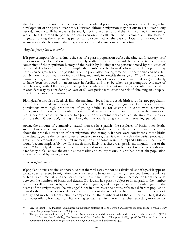also, by relating the totals of events to the interpolated population totals, to track the demographic development of the parish over time. However, although migration may net out to zero over a long period, it may actually have been substantial, first in one direction and then in the other, in intervening years. Thus, intermediate population totals can only be estimated if both volume and the *timing* of migration during the intervening period can be specified on the basis of local information, or if it seems reasonable to assume that migration occurred at a uniform rate over time.

#### *Arguing from plausible limits*

If it proves impossible to estimate the size of a parish population before the nineteenth century, or if this can only be done at one or more widely scattered dates, it may still be possible to reconstruct something of the population history of the parish by looking at the patterns traced by the series of births and deaths over time. For example, the numbers of births or deaths registered in a parish may have risen so greatly that the possibility of the population having remained the same size can be ruled out. National birth rates in pre-industrial England rarely fell outside the range of 27 to 41 per thousand. Consequently, any increase in the numbers of births by a factor of more than  $1.5 \frac{41}{27}$  is unlikely to have been produced by an increase in fertility and may be taken as presumptive evidence of population growth. Of course, in making this calculation sufficient numbers of events must be taken at each date (say by considering 25-year or 50-year periods) to lessen the risk of obtaining an untypical ratio from chance fluctuations.

Biological factors also effectively limit the maximum level that the crude birth rate of a large population can reach in normal circumstances to about 55 per 1,000, though this figure can be exceeded in small populations with high proportions of young adults as, for example, in cities with substantial immigration. If, therefore, a parish in more normal circumstances experienced a rise in the number of births to a level which, when related to a population size estimate at an earlier date, implies a birth rate of more than 55 per 1000, it is highly likely that the population grew in the intervening period.

Again, the amount of cumulative natural increase in a parish (the surpluses of births over deaths summed over successive years) can be compared with the trends in the series to draw conclusions about the probable direction of net migration. For example, if there were consistently more births than deaths, yet neither series showed a tendency to rise, then it is unlikely that the parish population grew by the amount of the natural increase, for after some years the implied birth and death rates would become implausibly low. It is much more likely that there was persistent migration out of the parish.<sup>46</sup> Similarly, if a parish consistently recorded more deaths than births yet neither series showed a tendency to fall, as was the case in some market and county towns, it is probable that the population was replenished by in-migration.

#### *Some deceptive ratios*

If population size remains unknown, so that the vital rates cannot be calculated, and if a parish appears to have been affected by migration, then care needs to be taken in drawing inferences about the balance of fertility and mortality in the parish from the apparent level of natural increase, or from the ratio between the numbers of births and deaths. Obviously, in a parish subject to in-migration, the number of deaths will be swollen by the presence of immigrants, and in a parish subject to out-migration the deaths of the emigrants will be missing.<sup>47</sup> Since in both cases the deaths refer to a different population than do the births we cannot draw conclusions about the size of the balance between the levels of fertility and mortality from a simple comparison of the numbers of births and deaths. Thus, it does not necessarily follow that mortality was higher than fertility in town parishes recording more deaths

<sup>46</sup> See, for example, A. Pallister, 'Some notes on the parish registers of Long Newton and derivations from them', *Durham County Local History Society Bulletin*, 65 (2002), pp. 67-91.

<sup>47</sup> This point was made forcefully by A. Sharlin, 'Natural increase and decrease in early modern cities', *Past and Present*, 79 (1978), pp. 126-38. See also C. Galley, *The Demography of Early Modern Towns* (Liverpool, 1998), pp. 65-70. The position is more complicated when both in-migration and out-migration occur, and at different ages.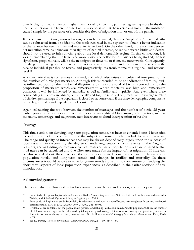than births, nor that fertility was higher than mortality in country parishes registering more births than deaths. Either *may* have been the case, but it is also possible that the reverse was true and the imbalance caused simply by the presence of a considerable flow of migration into, or out of, the parish.

If the volume of net migration is known, or can be estimated, then the 'surplus' or 'missing' deaths can be subtracted from, or added to, the totals recorded in the register, to obtain a better indication of the balance between fertility and mortality *in the parish.* On the other hand, if the volume between net migration remains unknown, then figures of natural increase, or ratios between births and deaths, should not be used to infer anything about the local demographic regime. In this connection, it is worth remembering that the larger and more varied the collection of parishes being studied, the less significant, proportionally, will be the net migration flows to, or from, the outer world. Consequently, the danger of making false inferences from totals or ratios of births and deaths are most severe in the case of individual parishes or towns, and progressively less troublesome at a regional, and national level.<sup>48</sup>

Another ratio that is sometimes calculated, and which also raises difficulties of interpretation, is the number of births per marriage. Although this is intended to be an indicator of fertility, it will be influenced both by the number of illegitimate births in the total of births recorded and by the proportion of marriages which are remarriages.<sup>49</sup> Where mortality was high and remarriages common it will be influenced by mortality as well as fertility and nuptiality. And even where these confounding influences are absent, or can be allowed for, the ratio will only measure the average number of children per marriage if the population is closed or stationary, and if the three demographic components of fertility, mortality and nuptiality are all constant.<sup>50</sup>

Again, calculating the ratio between the number of marriages and the number of births 25 years earlier provides only a very approximate index of nuptiality.<sup>51</sup> Once more, other factors, such as mortality, remarriage and migration, may intervene to cloud interpretation of results.

#### *Summary*

Thisfinalsection, on deriving long-term population trends, has been an extended one. I have tried to outline some of the complexities of the subject and some pitfalls that lurk to trap the unwary. The range and quality of inferences that may be drawn depend very largely upon the success of local research in discovering the degree of under-registration of vital events in the Anglican registers, and in finding sources on which estimates of parish population sizes can be based so that vital rates can be calculated and due allowance made for the impact of net migration. If little can be discovered about these factors, then only very limited conclusions can be drawn about population totals, and long-term trends and changes in fertility and mortality. In these circumstances it would bewise to leave long-term trends alone and to concentrate on studying the short-term aspects of local population experiences, as described in the earlier sections of this introduction.

#### **Acknowledgements**

Thanks are due to Chris Galley for his comments on the second edition, and for copy-editing.

<sup>48</sup> For a study of regional baptism/burial rates, see Drake, 'Elementary exercise'. National birth and death rates are discussed in Wrigley and Schofield, *Population History of England*, pp. 176-89.

<sup>49</sup> For a study of illegitimacy, see P. Bromfield, 'Incidences and attitudes: a view of bastardy from eighteenth-century rural north Staffordshire, c. 1750-1820', *Midland History*, 27 (2002), pp. 80-98.

<sup>50</sup> If vital rates are constant, but the population is growing or declining (a situation called a 'stable' population), the mean number of children per marriage can be calculated by taking a weighted average of the totals of marriages in previous years as the denominator in calculating the birth/marriage ratio. See L. Henry, *Manuel de Démographic Historique* (Geneva and Paris, 1967), p. 78.

<sup>51</sup> See D. Turner, 'The effective family', *Local Population Studies*, 2 (1969), pp. 47-54.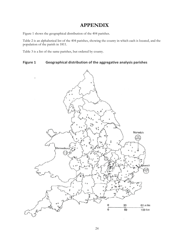## **APPENDIX**

Figure 1 shows the geographical distribution of the 404 parishes.

Table 2 is an alphabetical list of the 404 parishes, showing the county in which each is located, and the population of the parish in 1811.

Table 3 is a list of the same parishes, but ordered by county.

**Figure 1 Geographical distribution of the aggregative analysis parishes**

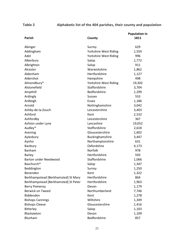## **Table 2 Alphabetic list of the 404 parishes, their county and population**

|                                      |                       | <b>Population in</b> |
|--------------------------------------|-----------------------|----------------------|
| Parish                               | County                | 1811                 |
| Abinger                              | Surrey                | 629                  |
| Addingham                            | Yorkshire West Riding | 1,559                |
| Adel                                 | Yorkshire West Riding | 996                  |
| Alberbury                            | Salop                 | 1,772                |
| Albrighton                           | Salop                 | 911                  |
| Alcester                             | Warwickshire          | 1,862                |
| Aldenham                             | Hertfordshire         | 1,127                |
| Aldershot                            | Hampshire             | 498                  |
| Almondbury*                          | Yorkshire West Riding | 19,302               |
| Alstonefield                         | Staffordshire         | 3,704                |
| Ampthill                             | Bedfordshire          | 1,299                |
| Ardingly                             | <b>Sussex</b>         | 553                  |
| Ardleigh                             | Essex                 | 1,186                |
| Arnold                               | Nottinghamshire       | 3,042                |
| Ashby-de-la-Zouch                    | Leicestershire        | 3,403                |
| Ashford                              | Kent                  | 2,532                |
| Ashfordby                            | Leicestershire        | 367                  |
| Ashton under Lyne                    | Lancashire            | 19,052               |
| Audley*                              | Staffordshire         | 2,618                |
| Avening                              | Gloucestershire       | 1,602                |
| Aylesbury                            | Buckinghamshire       | 3,447                |
| Aynho                                | Northamptonshire      | 631                  |
| Banbury                              | Oxfordshire           | 4,173                |
| Banham                               | Norfolk               | 978                  |
| <b>Barley</b>                        | Hertfordshire         | 593                  |
| <b>Barton under Needwood</b>         | Staffordshire         | 1,066                |
| Baschurch*                           | Salop                 | 1,347                |
| Beddington                           | Surrey                | 1,250                |
| Benenden                             | Kent                  | 1,322                |
| Berkhampstead [Berkhamsted] St Mary  | Hertfordshire         | 864                  |
| Berkhampstead [Berkhamsted] St Peter | Hertfordshire         | 1,963                |
| <b>Berry Pomeroy</b>                 | Devon                 | 1,179                |
| <b>Berwick on Tweed</b>              | Northumberland        | 7,746                |
| Biddenden                            | Kent                  | 1,278                |
| <b>Bishops Cannings</b>              | Wiltshire             | 1,349                |
| <b>Bishops Cleeve</b>                | Gloucestershire       | 1,416                |
| Bitterley                            | Salop                 | 1,103                |
| Blackawton                           | Devon                 | 1,109                |
| Blunham                              | Bedfordshire          | 857                  |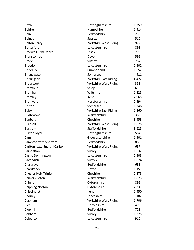| Blyth                          | Nottinghamshire              | 1,759 |
|--------------------------------|------------------------------|-------|
| <b>Boldre</b>                  | Hampshire                    | 1,914 |
| Boln                           | Bedfordshire                 | 230   |
| Bolney                         | <b>Sussex</b>                | 510   |
| <b>Bolton Percy</b>            | Yorkshire West Riding        | 972   |
| Bottesford                     | Leicestershire               | 891   |
| Bradwell juxta Mare            | Essex                        | 795   |
| <b>Branscombe</b>              | Devon                        | 595   |
| <b>Brede</b>                   | <b>Sussex</b>                | 787   |
| <b>Breedon</b>                 | Leicestershire               | 2,302 |
| <b>Bridekirk</b>               | Cumberland                   | 1,552 |
| Bridgewater                    | Somerset                     | 4,911 |
| <b>Bridlington</b>             | <b>Yorkshire East Riding</b> | 4,422 |
| Brodsworth                     | Yorkshire West Riding        | 358   |
| <b>Bromfield</b>               | Salop                        | 610   |
| <b>Bromham</b>                 | Wiltshire                    | 1,225 |
| <b>Bromley</b>                 | Kent                         | 2,965 |
| Bromyard                       | Herefordshire                | 2,594 |
| <b>Bruton</b>                  | Somerset                     | 1,746 |
| <b>Bubwith</b>                 | <b>Yorkshire East Riding</b> | 1,260 |
| Budbrooke                      | Warwickshire                 | 383   |
| <b>Bunbury</b>                 | Cheshire                     | 3,453 |
| <b>Burnsall</b>                | Yorkshire West Riding        | 1,075 |
| <b>Burslem</b>                 | Staffordshire                | 8,625 |
| <b>Burton Joyce</b>            | Nottinghamshire              | 564   |
| Cam                            | Gloucestershire              | 1,501 |
| Campton with Shefford          | Bedfordshire                 | 860   |
| Carlton juxta Snaith [Carlton] | Yorkshire West Riding        | 687   |
| Carshalton                     | Surrey                       | 1,532 |
| Castle Donnington              | Leicestershire               | 2,308 |
| Cavendish                      | Suffolk                      | 1,074 |
| Chalgrave                      | Bedfordshire                 | 633   |
| Chardstock                     | Devon                        | 1,151 |
| <b>Chester Holy Trinity</b>    | Cheshire                     | 2,278 |
| <b>Chilvers Coton</b>          | Warwickshire                 | 1,873 |
| Chinnor                        | Oxfordshire                  | 895   |
| <b>Chipping Norton</b>         | Oxfordshire                  | 2,331 |
| Chiselhurst                    | Kent                         | 1,450 |
| Chorley                        | Lancashire                   | 5,182 |
| Clapham                        | Yorkshire West Riding        | 1,706 |
| Clee                           | Lincolnshire                 | 490   |
| Clophill                       | Bedfordshire                 | 721   |
| Cobham                         | Surrey                       | 1,275 |
| Coleorton                      | Leicestershire               | 910   |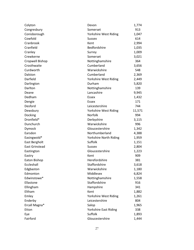| Colyton               | Devon                  | 1,774  |
|-----------------------|------------------------|--------|
| Congresbury           | Somerset               | 913    |
| Conisborough          | Yorkshire West Riding  | 1,047  |
| Cowfold               | <b>Sussex</b>          | 614    |
| Cranbrook             | Kent                   | 2,994  |
| Cranfield             | Bedfordshire           | 1,035  |
| Cranley               | Surrey                 | 1,009  |
| Crewkerne             | Somerset               | 3,021  |
| Cropwell Bishop       | Nottinghamshire        | 364    |
| Crosthwaite           | Cumberland             | 3,656  |
| Curdworth             | Warwickshire           | 548    |
| Dalston               | Cumberland             | 2,369  |
| Darfield              | Yorkshire West Riding  | 2,449  |
| Darlington            | Durham                 | 5,820  |
| Darlton               | Nottinghamshire        | 139    |
| Deane                 | Lancashire             | 9,945  |
| Dedham                | Essex                  | 1,432  |
| Dengie                | Essex                  | 171    |
| Desford               | Leicestershire         | 744    |
| Dewsbury              | Yorkshire West Riding  | 11,571 |
| Docking               | Norfolk                | 994    |
| Dronfield*            | Derbyshire             | 3,115  |
| Dunchurch             | Warwickshire           | 996    |
| Dymock                | Gloucestershire        | 1,342  |
| Earsdon               | Northumberland         | 4,388  |
| Easingwold*           | Yorkshire North Riding | 1,959  |
| East Bergholt         | Suffolk                | 1,151  |
| <b>East Grinstead</b> | <b>Sussex</b>          | 2,804  |
| Eastington            | Gloucestershire        | 1,223  |
| Eastry                | Kent                   | 909    |
| Eaton Bishop          | Herefordshire          | 381    |
| Eccleshall            | Staffordshire          | 3,618  |
| Edgbaston             | Warwickshire           | 1,180  |
| Edmonton              | Middlesex              | 6,824  |
| Edwinstowe*           | Nottinghamshire        | 1,558  |
| Ellastone             | Staffordshire          | 916    |
| Ellingham             | Hampshire              | 341    |
| Eltham                | Kent                   | 1,882  |
| Emley                 | Yorkshire West Riding  | 1,261  |
| Enderby               | Leicestershire         | 804    |
| Ercall Magna*         | Salop                  | 1,965  |
| Etton                 | Yorkshire East Riding  | 338    |
| Eye                   | Suffolk                | 1,893  |
| Fairford              | Gloucestershire        | 1,444  |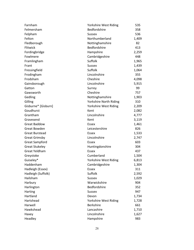| Farnham               | Yorkshire West Riding  | 535   |
|-----------------------|------------------------|-------|
| Felmersham            | Bedfordshire           | 358   |
| Felpham               | <b>Sussex</b>          | 536   |
| Felton                | Northumberland         | 1,409 |
| Fledborough           | Nottinghamshire        | 82    |
| Flitwick              | Bedfordshire           | 413   |
| Fordingbridge         | Hampshire              | 2,259 |
| Fowlmere              | Cambridgeshire         | 448   |
| Framlingham           | Suffolk                | 1,965 |
| Frant                 | <b>Sussex</b>          | 1,439 |
| Fressingfield         | Suffolk                | 1,064 |
| Frodingham            | Lincolnshire           | 355   |
| Frodsham              | Cheshire               | 4,098 |
| Gainsborough          | Lincolnshire           | 5,915 |
| Gatton                | Surrey                 | 99    |
| Gawsworth             | Cheshire               | 757   |
| Gedling               | Nottinghamshire        | 1,903 |
| Gilling               | Yorkshire North Riding | 310   |
| Gisburne* [Gisburn]   | Yorkshire West Riding  | 2,209 |
| Goudhurst             | Kent                   | 2,082 |
| Grantham              | Lincolnshire           | 4,777 |
| Gravesend             | Kent                   | 3,119 |
| <b>Great Baddow</b>   | Essex                  | 1,461 |
| Great Bowden          | Leicestershire         | 826   |
| <b>Great Burstead</b> | Essex                  | 1,533 |
| <b>Great Grimsby</b>  | Lincolnshire           | 2,747 |
| <b>Great Sampford</b> | Essex                  | 603   |
| <b>Great Stukeley</b> | Huntingdonshire        | 304   |
| <b>Great Yeldham</b>  | Essex                  | 437   |
| Greystoke             | Cumberland             | 1,504 |
| Guiseley*             | Yorkshire West Riding  | 6,813 |
| Haddenham             | Cambridgeshire         | 1,304 |
| Hadleigh (Essex)      | Essex                  | 311   |
| Hadleigh (Suffolk)    | Suffolk                | 2,592 |
| Hailsham              | <b>Sussex</b>          | 1,029 |
| Harbury               | Warwickshire           | 904   |
| Harlington            | Bedfordshire           | 352   |
| Harting               | <b>Sussex</b>          | 947   |
| Hartland              | Devon                  | 1,734 |
| Hartshead             | Yorkshire West Riding  | 1,728 |
| Harwell               | <b>Berkshire</b>       | 661   |
| Hawkshead             | Lancashire             | 1,710 |
| Haxey                 | Lincolnshire           | 1,627 |
| Headley               | Hampshire              | 983   |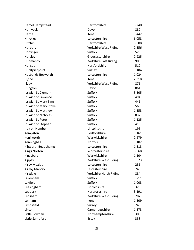| <b>Hemel Hempstead</b> | Hertfordshire                | 3,240 |
|------------------------|------------------------------|-------|
| Hemyock                | Devon                        | 882   |
| Herne                  | Kent                         | 1,442 |
| Hinckley               | Leicestershire               | 6,058 |
| Hitchin                | Hertfordshire                | 3,608 |
| Horbury                | Yorkshire West Riding        | 2,356 |
| Horringer              | Suffolk                      | 523   |
| Horsley                | Gloucestershire              | 2,925 |
| Hunmanby               | <b>Yorkshire East Riding</b> | 903   |
| Hunsdon                | Hertfordshire                | 512   |
| Hurstpierpoint         | <b>Sussex</b>                | 1,184 |
| Husbands Bosworth      | Leicestershire               | 1,024 |
| Hythe                  | Kent                         | 2,318 |
| Ilkley                 | Yorkshire West Riding        | 871   |
| Ilsington              | Devon                        | 861   |
| Ipswich St Clement     | Suffolk                      | 3,305 |
| Ipswich St Lawence     | Suffolk                      | 494   |
| Ipswich St Mary Elms   | Suffolk                      | 441   |
| Ipswich St Mary Stoke  | Suffolk                      | 568   |
| Ipswich St Matthew     | Suffolk                      | 1,353 |
| Ipswich St Nicholas    | Suffolk                      | 832   |
| Ipswich St Peter       | Suffolk                      | 1,125 |
| Ipswich St Stephen     | Suffolk                      | 416   |
| Irby on Humber         | Lincolnshire                 | 196   |
| Kempston               | Bedfordshire                 | 1,161 |
| Kenilworth             | Warwickshire                 | 2,279 |
| Kenninghall            | Norfolk                      | 1,102 |
| Kibworth Beauchamp     | Leicestershire               | 1,313 |
| <b>Kings Norton</b>    | Worcestershire               | 3,068 |
| Kingsbury              | Warwickshire                 | 1,104 |
| Kippax                 | Yorkshire West Riding        | 1,573 |
| Kirby Muxloe           | Leicestershire               | 231   |
| Kirkby Mallory         | Leicestershire               | 248   |
| Kirkdale               | Yorkshire North Riding       | 884   |
| Lavenham               | Suffolk                      | 1,711 |
| Laxfield               | Suffolk                      | 1,003 |
| Leasingham             | Lincolnshire                 | 329   |
| Ledbury                | Herefordshire                | 3,191 |
| Ledsham                | Yorkshire West Riding        | 787   |
| Lenham                 | Kent                         | 1,509 |
| Limpsfield             | Surrey                       | 746   |
| Linton                 | Cambridgeshire               | 1,373 |
| Little Bowden          | Northamptonshire             | 305   |
| Little Sampford        | Essex                        | 338   |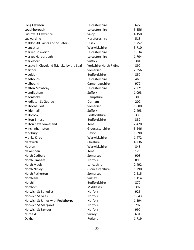| Long Clawson                            | Leicestershire         | 627   |
|-----------------------------------------|------------------------|-------|
| Loughborough                            | Leicestershire         | 5,556 |
| Ludlow St Lawrence                      | Salop                  | 4,150 |
| Lugwardine                              | Herefordshire          | 518   |
| <b>Maldon All Saints and St Peters</b>  | Essex                  | 1,752 |
| Mancetter                               | Warwickshire           | 3,710 |
| Market Bosworth                         | Leicestershire         | 1,034 |
| Market Harborough                       | Leicestershire         | 1,704 |
| Marlesford                              | Suffolk                | 381   |
| Marske in Cleveland [Marske by the Sea] | Yorkshire North Riding | 890   |
| Martock                                 | Somerset               | 2,356 |
| Maulden                                 | Bedfordshire           | 850   |
| Medbourn                                | Leicestershire         | 468   |
| Melbourn                                | Cambridgeshire         | 972   |
| <b>Melton Mowbray</b>                   | Leicestershire         | 2,221 |
| Mendlesham                              | Suffolk                | 1,093 |
| Meonstoke                               | Hampshire              | 300   |
| Middleton St George                     | Durham                 | 202   |
| Milborne Port                           | Somerset               | 1,000 |
| Mildenhall                              | Suffolk                | 2,493 |
| Millbrook                               | Bedfordshire           | 335   |
| <b>Milton Ernest</b>                    | Bedfordshire           | 332   |
| <b>Milton next Gravesend</b>            | Kent                   | 2,470 |
| Minchinhampton                          | Gloucestershire        | 3,246 |
| Modbury                                 | Devon                  | 1,890 |
| Monks Kirby                             | Warwickshire           | 1,472 |
| Nantwich                                | Cheshire               | 4,236 |
| Napton                                  | Warwickshire           | 848   |
| Newenden                                | Kent                   | 125   |
| North Cadbury                           | Somerset               | 908   |
| North Elmham                            | Norfolk                | 896   |
| North Meols                             | Lancashire             | 2,492 |
| North Nibley                            | Gloucestershire        | 1,290 |
| North Petherton                         | Somerset               | 2,615 |
| Northiam                                | <b>Sussex</b>          | 1,114 |
| Northill                                | Bedfordshire           | 870   |
| Northolt                                | Middlesex              | 392   |
| Norwich St Benedict                     | Norfolk                | 925   |
| <b>Norwich St Giles</b>                 | Norfolk                | 1,043 |
| Norwich St James with Pockthorpe        | Norfolk                | 1,594 |
| Norwich St Margaret                     | Norfolk                | 797   |
| Norwich St Saviour                      | Norfolk                | 990   |
| Nutfield                                | Surrey                 | 631   |
| Oakham                                  | Rutland                | 1,719 |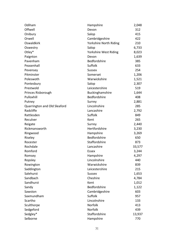| Odiham                       | Hampshire              | 2,048  |
|------------------------------|------------------------|--------|
| Offwell                      | Devon                  | 312    |
| Onibury                      | Salop                  | 415    |
| Orwell                       | Cambridgeshire         | 422    |
| Oswaldkirk                   | Yorkshire North Riding | 210    |
| Oswestry                     | Salop                  | 6,733  |
| Otley*                       | Yorkshire West Riding  | 8,023  |
| Paignton                     | Devon                  | 1,639  |
| Pavenham                     | Bedfordshire           | 385    |
| Peasenhall                   | Suffolk                | 633    |
| Pevensey                     | <b>Sussex</b>          | 254    |
| Pitminster                   | Somerset               | 1,206  |
| Poleswoth                    | Warwickshire           | 1,521  |
| Pontesbury                   | Salop                  | 2,307  |
| Prestwold                    | Leicestershire         | 519    |
| Princes Risborough           | Buckinghamshire        | 1,644  |
| Pulloxhill                   | Bedfordshire           | 408    |
| Putney                       | Surrey                 | 2,881  |
| Quarrington and Old Sleaford | Lincolnshire           | 285    |
| Radcliffe                    | Lancashire             | 2,792  |
| Rattlesden                   | Suffolk                | 849    |
| Reculver                     | Kent                   | 265    |
| Reigate                      | Surrey                 | 2,440  |
| Rickmansworth                | Hertfordshire          | 3,230  |
| Ringwood                     | Hampshire              | 3,269  |
| Riseley                      | Bedfordshire           | 650    |
| Rocester                     | Staffordshire          | 873    |
| Rochdale                     | Lancashire             | 33,577 |
| Romford                      | Essex                  | 3,244  |
| Romsey                       | Hampshire              | 4,297  |
| Ropsley                      | Lincolnshire           | 440    |
| Rowington                    | Warwickshire           | 839    |
| Saddington                   | Leicestershire         | 215    |
| Salehurst                    | <b>Sussex</b>          | 1,653  |
| Sandbach                     | Cheshire               | 4,784  |
| Sandhurst                    | Kent                   | 1,012  |
| Sandy                        | Bedfordshire           | 1,122  |
| Sawston                      | Cambridgeshire         | 603    |
| Saxmundham                   | Suffolk                | 957    |
| Scartho                      | Lincolnshire           | 133    |
| Sculthorpe                   | Norfolk                | 413    |
| Sedgeford                    | Norfolk                | 439    |
| Sedgley*                     | Staffordshire          | 13,937 |
| Selborne                     | Hampshire              | 770    |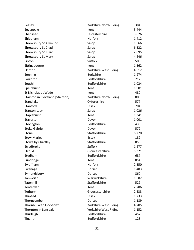| Sessay                           | Yorkshire North Riding | 384   |
|----------------------------------|------------------------|-------|
| Sevenoaks                        | Kent                   | 3,444 |
| Shepshed                         | Leicestershire         | 3,026 |
| Shipdham                         | Norfolk                | 1,412 |
| Shrewsbury St Alkmund            | Salop                  | 1,566 |
| Shrewsbury St Chad               | Salop                  | 6,322 |
| Shrewsbury St Julian             | Salop                  | 2,095 |
| Shrewsbury St Mary               | Salop                  | 4,646 |
| Sibton                           | Suffolk                | 503   |
| Sittingbourne                    | Kent                   | 1,362 |
| Skipton                          | Yorkshire West Riding  | 4,612 |
| Sonning                          | <b>Berkshire</b>       | 1,974 |
| Souldrop                         | Bedfordshire           | 212   |
| Southill                         | Bedfordshire           | 1,024 |
| Speldhurst                       | Kent                   | 1,901 |
| St Nicholas at Wade              | Kent                   | 480   |
| Stainton in Cleveland [Stainton] | Yorkshire North Riding | 806   |
| Standlake                        | Oxfordshire            | 577   |
| Stanford                         | Essex                  | 704   |
| <b>Stanton Lacy</b>              | Salop                  | 1,026 |
| Staplehurst                      | Kent                   | 1,341 |
| Staverton                        | Devon                  | 1,001 |
| Stevington                       | Bedfordshire           | 436   |
| <b>Stoke Gabriel</b>             | Devon                  | 572   |
| Stone                            | Staffordshire          | 6,270 |
| <b>Stow Maries</b>               | Essex                  | 182   |
| Stowe by Chartley                | Staffordshire          | 853   |
| Stradbroke                       | Suffolk                | 1,277 |
| Stroud                           | Gloucestershire        | 5,321 |
| Studham                          | Bedfordshire           | 687   |
| Sundridge                        | Kent                   | 854   |
| Swaffham                         | Norfolk                | 2,350 |
| Swanage                          | Dorset                 | 1,483 |
| Symondsbury                      | Dorset                 | 860   |
| Tanworth                         | Warwickshire           | 1,682 |
| Tatenhill                        | Staffordshire          | 529   |
| Tenterden                        | Kent                   | 2,786 |
| Tetbury                          | Gloucestershire        | 2,533 |
| Thaxted                          | Essex                  | 1,733 |
| Thorncombe                       | Dorset                 | 1,189 |
| Thornhill with Flockton*         | Yorkshire West Riding  | 4,705 |
| Thornton in Lonsdale             | Yorkshire West Riding  | 1,152 |
| Thurleigh                        | Bedfordshire           | 457   |
| Tingrith                         | Bedfordshire           | 128   |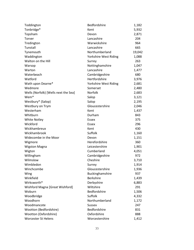| Toddington                           | Bedfordshire          | 1,182  |
|--------------------------------------|-----------------------|--------|
| Tonbridge*                           | Kent                  | 5,932  |
| Topsham                              | Devon                 | 2,871  |
| Torver                               | Lancashire            | 204    |
| Tredington                           | Warwickshire          | 964    |
| Tunstall                             | Lancashire            | 665    |
| Tynemouth                            | Northumberland        | 19,042 |
| Waddington                           | Yorkshire West Riding | 1,088  |
| Walton on the Hill                   | Surrey                | 263    |
| Warsop                               | Nottinghamshire       | 1,047  |
| Warton                               | Lancashire            | 1,477  |
| Waterbeach                           | Cambridgeshire        | 680    |
| Watford                              | Hertfordshire         | 3,976  |
| Wath upon Dearne*                    | Yorkshire West Riding | 2,681  |
| Wedmore                              | Somerset              | 2,480  |
| Wells (Norfolk) [Wells next the Sea] | Norfolk               | 2,683  |
| Wem*                                 | Salop                 | 3,121  |
| Westbury* (Salop)                    | Salop                 | 2,195  |
| Westbury on Trym                     | Gloucestershire       | 2,046  |
| Westerham                            | Kent                  | 1,437  |
| Whitburn                             | Durham                | 843    |
| <b>White Notley</b>                  | Essex                 | 375    |
| Wickford                             | Essex                 | 296    |
| Wickhambreux                         | Kent                  | 430    |
| Wickhambrook                         | Suffolk               | 1,160  |
| Widecombe in the Moor                | Devon                 | 1,151  |
| Wigmore                              | Herefordshire         | 360    |
| <b>Wigston Magna</b>                 | Leicestershire        | 1,901  |
| Wigton                               | Cumberland            | 4,051  |
| Willingham                           | Cambridgeshire        | 972    |
| Wilmslow                             | Cheshire              | 3,710  |
| Wimbledon                            | Surrey                | 1,914  |
| Winchcombe                           | Gloucestershire       | 1,936  |
| Wing                                 | Buckinghamshire       | 937    |
| Winkfield                            | <b>Berkshire</b>      | 1,439  |
| Wirksworth*                          | Derbyshire            | 6,883  |
| Wishford Magna [Great Wishford]      | Wiltshire             | 291    |
| Woburn                               | Bedfordshire          | 1,506  |
| Woodbridge                           | Suffolk               | 4,332  |
| Woodhorn                             | Northumberland        | 1,172  |
| Woodmancote                          | <b>Sussex</b>         | 247    |
| Wootton (Bedfordshire)               | Bedfordshire          | 831    |
| Wootton (Oxfordshire)                | Oxfordshire           | 888    |
| <b>Worcester St Helens</b>           | Worcestershire        | 1,412  |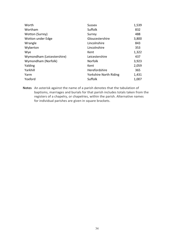| <b>Sussex</b>          | 1,539 |
|------------------------|-------|
| Suffolk                | 832   |
| Surrey                 | 488   |
| Gloucestershire        | 3,800 |
| Lincolnshire           | 843   |
| Lincolnshire           | 353   |
| Kent                   | 1,322 |
| Leicestershire         | 437   |
| Norfolk                | 3,923 |
| Kent                   | 2,059 |
| Herefordshire          | 365   |
| Yorkshire North Riding | 1,431 |
| Suffolk                | 1,007 |
|                        |       |

**Notes** An asterisk against the name of a parish denotes that the tabulation of baptisms, marriages and burials for that parish includes totals taken from the registers of a chapelry, or chapelries, within the parish. Alternative names for individual parishes are given in square brackets.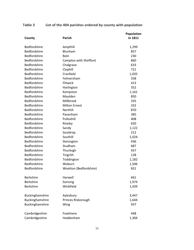## **Table 3 List of the 404 parishes ordered by county with population**

| County              | <b>Parish</b>          | Population<br>in 1811 |
|---------------------|------------------------|-----------------------|
| Bedfordshire        | Ampthill               | 1,299                 |
| Bedfordshire        | Blunham                | 857                   |
| Bedfordshire        | Boln                   | 230                   |
| Bedfordshire        | Campton with Shefford  | 860                   |
| Bedfordshire        | Chalgrave              | 633                   |
| Bedfordshire        | Clophill               | 721                   |
| Bedfordshire        | Cranfield              | 1,035                 |
| <b>Bedfordshire</b> | Felmersham             | 358                   |
| Bedfordshire        | Flitwick               | 413                   |
| Bedfordshire        | Harlington             | 352                   |
| Bedfordshire        | Kempston               | 1,161                 |
| Bedfordshire        | Maulden                | 850                   |
| <b>Bedfordshire</b> | Millbrook              | 335                   |
| Bedfordshire        | <b>Milton Ernest</b>   | 332                   |
| Bedfordshire        | Northill               | 870                   |
| <b>Bedfordshire</b> | Pavenham               | 385                   |
| Bedfordshire        | Pulloxhill             | 408                   |
| Bedfordshire        | Riseley                | 650                   |
| <b>Bedfordshire</b> | Sandy                  | 1,122                 |
| Bedfordshire        | Souldrop               | 212                   |
| Bedfordshire        | Southill               | 1,024                 |
| Bedfordshire        | Stevington             | 436                   |
| Bedfordshire        | Studham                | 687                   |
| Bedfordshire        | Thurleigh              | 457                   |
| Bedfordshire        | Tingrith               | 128                   |
| <b>Bedfordshire</b> | Toddington             | 1,182                 |
| <b>Bedfordshire</b> | Woburn                 | 1,506                 |
| Bedfordshire        | Wootton (Bedfordshire) | 831                   |
| <b>Berkshire</b>    | Harwell                | 661                   |
| <b>Berkshire</b>    | Sonning                | 1,974                 |
| <b>Berkshire</b>    | Winkfield              | 1,439                 |
| Buckinghamshire     | Aylesbury              | 3,447                 |
| Buckinghamshire     | Princes Risborough     | 1,644                 |
| Buckinghamshire     | Wing                   | 937                   |
| Cambridgeshire      | Fowlmere               | 448                   |
| Cambridgeshire      | Haddenham              | 1,304                 |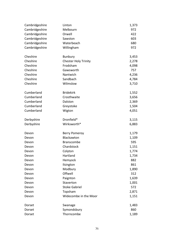| Cambridgeshire<br>Melbourn<br>972<br>Cambridgeshire<br>Orwell<br>422<br>Cambridgeshire<br>603<br>Sawston<br>Cambridgeshire<br>Waterbeach<br>680<br>Cambridgeshire<br>Willingham<br>972<br>Cheshire<br>Bunbury<br>3,453<br>Cheshire<br>2,278<br><b>Chester Holy Trinity</b><br>Cheshire<br>Frodsham<br>4,098<br>Cheshire<br>757<br>Gawsworth<br>Cheshire<br>Nantwich<br>4,236<br>Cheshire<br>Sandbach<br>4,784<br>Cheshire<br>Wilmslow<br>3,710<br>Cumberland<br><b>Bridekirk</b><br>1,552<br>Cumberland<br>Crosthwaite<br>3,656<br>Cumberland<br>Dalston<br>2,369<br>Cumberland<br>1,504<br>Greystoke<br>Cumberland<br>4,051<br>Wigton<br>Dronfield*<br>Derbyshire<br>3,115<br>Wirksworth*<br>Derbyshire<br>6,883<br>1,179<br><b>Berry Pomeroy</b><br>Devon<br>Blackawton<br>1,109<br>Devon<br>595<br><b>Branscombe</b><br>Devon<br>Chardstock<br>1,151<br>Devon<br>1,774<br>Colyton<br>Devon<br>Hartland<br>1,734<br>Devon<br>Hemyock<br>882<br>Devon<br>Ilsington<br>861<br>Devon<br>Modbury<br>1,890<br>Devon<br>Offwell<br>312<br>Devon<br>Paignton<br>1,639<br>Devon<br>1,001<br>Staverton<br>Devon<br><b>Stoke Gabriel</b><br>572<br>Devon<br>Topsham<br>2,871<br>Devon<br>Widecombe in the Moor<br>1,151<br>Devon<br>Swanage<br>1,483<br>Dorset | Cambridgeshire | Linton      | 1,373 |
|--------------------------------------------------------------------------------------------------------------------------------------------------------------------------------------------------------------------------------------------------------------------------------------------------------------------------------------------------------------------------------------------------------------------------------------------------------------------------------------------------------------------------------------------------------------------------------------------------------------------------------------------------------------------------------------------------------------------------------------------------------------------------------------------------------------------------------------------------------------------------------------------------------------------------------------------------------------------------------------------------------------------------------------------------------------------------------------------------------------------------------------------------------------------------------------------------------------------------------------------------------|----------------|-------------|-------|
|                                                                                                                                                                                                                                                                                                                                                                                                                                                                                                                                                                                                                                                                                                                                                                                                                                                                                                                                                                                                                                                                                                                                                                                                                                                        |                |             |       |
|                                                                                                                                                                                                                                                                                                                                                                                                                                                                                                                                                                                                                                                                                                                                                                                                                                                                                                                                                                                                                                                                                                                                                                                                                                                        |                |             |       |
|                                                                                                                                                                                                                                                                                                                                                                                                                                                                                                                                                                                                                                                                                                                                                                                                                                                                                                                                                                                                                                                                                                                                                                                                                                                        |                |             |       |
|                                                                                                                                                                                                                                                                                                                                                                                                                                                                                                                                                                                                                                                                                                                                                                                                                                                                                                                                                                                                                                                                                                                                                                                                                                                        |                |             |       |
|                                                                                                                                                                                                                                                                                                                                                                                                                                                                                                                                                                                                                                                                                                                                                                                                                                                                                                                                                                                                                                                                                                                                                                                                                                                        |                |             |       |
|                                                                                                                                                                                                                                                                                                                                                                                                                                                                                                                                                                                                                                                                                                                                                                                                                                                                                                                                                                                                                                                                                                                                                                                                                                                        |                |             |       |
|                                                                                                                                                                                                                                                                                                                                                                                                                                                                                                                                                                                                                                                                                                                                                                                                                                                                                                                                                                                                                                                                                                                                                                                                                                                        |                |             |       |
|                                                                                                                                                                                                                                                                                                                                                                                                                                                                                                                                                                                                                                                                                                                                                                                                                                                                                                                                                                                                                                                                                                                                                                                                                                                        |                |             |       |
|                                                                                                                                                                                                                                                                                                                                                                                                                                                                                                                                                                                                                                                                                                                                                                                                                                                                                                                                                                                                                                                                                                                                                                                                                                                        |                |             |       |
|                                                                                                                                                                                                                                                                                                                                                                                                                                                                                                                                                                                                                                                                                                                                                                                                                                                                                                                                                                                                                                                                                                                                                                                                                                                        |                |             |       |
|                                                                                                                                                                                                                                                                                                                                                                                                                                                                                                                                                                                                                                                                                                                                                                                                                                                                                                                                                                                                                                                                                                                                                                                                                                                        |                |             |       |
|                                                                                                                                                                                                                                                                                                                                                                                                                                                                                                                                                                                                                                                                                                                                                                                                                                                                                                                                                                                                                                                                                                                                                                                                                                                        |                |             |       |
|                                                                                                                                                                                                                                                                                                                                                                                                                                                                                                                                                                                                                                                                                                                                                                                                                                                                                                                                                                                                                                                                                                                                                                                                                                                        |                |             |       |
|                                                                                                                                                                                                                                                                                                                                                                                                                                                                                                                                                                                                                                                                                                                                                                                                                                                                                                                                                                                                                                                                                                                                                                                                                                                        |                |             |       |
|                                                                                                                                                                                                                                                                                                                                                                                                                                                                                                                                                                                                                                                                                                                                                                                                                                                                                                                                                                                                                                                                                                                                                                                                                                                        |                |             |       |
|                                                                                                                                                                                                                                                                                                                                                                                                                                                                                                                                                                                                                                                                                                                                                                                                                                                                                                                                                                                                                                                                                                                                                                                                                                                        |                |             |       |
|                                                                                                                                                                                                                                                                                                                                                                                                                                                                                                                                                                                                                                                                                                                                                                                                                                                                                                                                                                                                                                                                                                                                                                                                                                                        |                |             |       |
|                                                                                                                                                                                                                                                                                                                                                                                                                                                                                                                                                                                                                                                                                                                                                                                                                                                                                                                                                                                                                                                                                                                                                                                                                                                        |                |             |       |
|                                                                                                                                                                                                                                                                                                                                                                                                                                                                                                                                                                                                                                                                                                                                                                                                                                                                                                                                                                                                                                                                                                                                                                                                                                                        |                |             |       |
|                                                                                                                                                                                                                                                                                                                                                                                                                                                                                                                                                                                                                                                                                                                                                                                                                                                                                                                                                                                                                                                                                                                                                                                                                                                        |                |             |       |
|                                                                                                                                                                                                                                                                                                                                                                                                                                                                                                                                                                                                                                                                                                                                                                                                                                                                                                                                                                                                                                                                                                                                                                                                                                                        |                |             |       |
|                                                                                                                                                                                                                                                                                                                                                                                                                                                                                                                                                                                                                                                                                                                                                                                                                                                                                                                                                                                                                                                                                                                                                                                                                                                        |                |             |       |
|                                                                                                                                                                                                                                                                                                                                                                                                                                                                                                                                                                                                                                                                                                                                                                                                                                                                                                                                                                                                                                                                                                                                                                                                                                                        |                |             |       |
|                                                                                                                                                                                                                                                                                                                                                                                                                                                                                                                                                                                                                                                                                                                                                                                                                                                                                                                                                                                                                                                                                                                                                                                                                                                        |                |             |       |
|                                                                                                                                                                                                                                                                                                                                                                                                                                                                                                                                                                                                                                                                                                                                                                                                                                                                                                                                                                                                                                                                                                                                                                                                                                                        |                |             |       |
|                                                                                                                                                                                                                                                                                                                                                                                                                                                                                                                                                                                                                                                                                                                                                                                                                                                                                                                                                                                                                                                                                                                                                                                                                                                        |                |             |       |
|                                                                                                                                                                                                                                                                                                                                                                                                                                                                                                                                                                                                                                                                                                                                                                                                                                                                                                                                                                                                                                                                                                                                                                                                                                                        |                |             |       |
|                                                                                                                                                                                                                                                                                                                                                                                                                                                                                                                                                                                                                                                                                                                                                                                                                                                                                                                                                                                                                                                                                                                                                                                                                                                        |                |             |       |
|                                                                                                                                                                                                                                                                                                                                                                                                                                                                                                                                                                                                                                                                                                                                                                                                                                                                                                                                                                                                                                                                                                                                                                                                                                                        |                |             |       |
|                                                                                                                                                                                                                                                                                                                                                                                                                                                                                                                                                                                                                                                                                                                                                                                                                                                                                                                                                                                                                                                                                                                                                                                                                                                        |                |             |       |
|                                                                                                                                                                                                                                                                                                                                                                                                                                                                                                                                                                                                                                                                                                                                                                                                                                                                                                                                                                                                                                                                                                                                                                                                                                                        |                |             |       |
|                                                                                                                                                                                                                                                                                                                                                                                                                                                                                                                                                                                                                                                                                                                                                                                                                                                                                                                                                                                                                                                                                                                                                                                                                                                        |                |             |       |
|                                                                                                                                                                                                                                                                                                                                                                                                                                                                                                                                                                                                                                                                                                                                                                                                                                                                                                                                                                                                                                                                                                                                                                                                                                                        |                |             |       |
|                                                                                                                                                                                                                                                                                                                                                                                                                                                                                                                                                                                                                                                                                                                                                                                                                                                                                                                                                                                                                                                                                                                                                                                                                                                        |                |             |       |
|                                                                                                                                                                                                                                                                                                                                                                                                                                                                                                                                                                                                                                                                                                                                                                                                                                                                                                                                                                                                                                                                                                                                                                                                                                                        |                |             |       |
|                                                                                                                                                                                                                                                                                                                                                                                                                                                                                                                                                                                                                                                                                                                                                                                                                                                                                                                                                                                                                                                                                                                                                                                                                                                        |                |             |       |
|                                                                                                                                                                                                                                                                                                                                                                                                                                                                                                                                                                                                                                                                                                                                                                                                                                                                                                                                                                                                                                                                                                                                                                                                                                                        |                |             |       |
|                                                                                                                                                                                                                                                                                                                                                                                                                                                                                                                                                                                                                                                                                                                                                                                                                                                                                                                                                                                                                                                                                                                                                                                                                                                        | Dorset         | Symondsbury | 860   |
| Thorncombe<br>Dorset<br>1,189                                                                                                                                                                                                                                                                                                                                                                                                                                                                                                                                                                                                                                                                                                                                                                                                                                                                                                                                                                                                                                                                                                                                                                                                                          |                |             |       |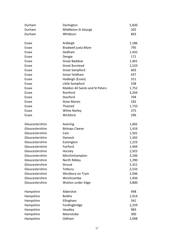| Durham          | Darlington                      | 5,820 |
|-----------------|---------------------------------|-------|
| Durham          | Middleton St George             | 202   |
| Durham          | Whitburn                        | 843   |
|                 |                                 |       |
| Essex           | Ardleigh                        | 1,186 |
| <b>Essex</b>    | Bradwell juxta Mare             | 795   |
| Essex           | Dedham                          | 1,432 |
| Essex           | Dengie                          | 171   |
| Essex           | <b>Great Baddow</b>             | 1,461 |
| Essex           | <b>Great Burstead</b>           | 1,533 |
| Essex           | <b>Great Sampford</b>           | 603   |
| Essex           | Great Yeldham                   | 437   |
| Essex           | Hadleigh (Essex)                | 311   |
| Essex           | Little Sampford                 | 338   |
| Essex           | Maldon All Saints and St Peters | 1,752 |
| Essex           | Romford                         | 3,244 |
| Essex           | Stanford                        | 704   |
| Essex           | <b>Stow Maries</b>              | 182   |
| Essex           | Thaxted                         | 1,733 |
| Essex           | <b>White Notley</b>             | 375   |
| Essex           | Wickford                        | 296   |
|                 |                                 |       |
| Gloucestershire | Avening                         | 1,602 |
| Gloucestershire | <b>Bishops Cleeve</b>           | 1,416 |
| Gloucestershire | Cam                             | 1,501 |
| Gloucestershire | Dymock                          | 1,342 |
| Gloucestershire | Eastington                      | 1,223 |
| Gloucestershire | Fairford                        | 1,444 |
| Gloucestershire | Horsley                         | 2,925 |
| Gloucestershire | Minchinhampton                  | 3,246 |
| Gloucestershire | North Nibley                    | 1,290 |
| Gloucestershire | Stroud                          | 5,321 |
| Gloucestershire | Tetbury                         | 2,533 |
| Gloucestershire | Westbury on Trym                | 2,046 |
| Gloucestershire | Winchcombe                      | 1,936 |
| Gloucestershire | Wotton under Edge               | 3,800 |
|                 |                                 |       |
| Hampshire       | Aldershot                       | 498   |
| Hampshire       | <b>Boldre</b>                   | 1,914 |
| Hampshire       | Ellingham                       | 341   |
| Hampshire       | Fordingbridge                   | 2,259 |
| Hampshire       | Headley                         | 983   |
| Hampshire       | Meonstoke                       | 300   |
| Hampshire       | Odiham                          | 2,048 |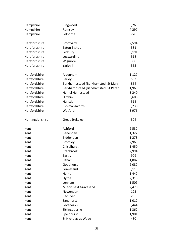| Hampshire       | Ringwood                             | 3,269 |
|-----------------|--------------------------------------|-------|
| Hampshire       | Romsey                               | 4,297 |
| Hampshire       | Selborne                             | 770   |
|                 |                                      |       |
| Herefordshire   | Bromyard                             | 2,594 |
| Herefordshire   | Eaton Bishop                         | 381   |
| Herefordshire   | Ledbury                              | 3,191 |
| Herefordshire   | Lugwardine                           | 518   |
| Herefordshire   | Wigmore                              | 360   |
| Herefordshire   | Yarkhill                             | 365   |
|                 |                                      |       |
| Hertfordshire   | Aldenham                             | 1,127 |
| Hertfordshire   | <b>Barley</b>                        | 593   |
| Hertfordshire   | Berkhampstead [Berkhamsted] St Mary  | 864   |
| Hertfordshire   | Berkhampstead [Berkhamsted] St Peter | 1,963 |
| Hertfordshire   | <b>Hemel Hempstead</b>               | 3,240 |
| Hertfordshire   | Hitchin                              | 3,608 |
| Hertfordshire   | Hunsdon                              | 512   |
| Hertfordshire   | Rickmansworth                        | 3,230 |
| Hertfordshire   | Watford                              | 3,976 |
|                 |                                      |       |
| Huntingdonshire | <b>Great Stukeley</b>                | 304   |
|                 |                                      |       |
| Kent            | Ashford                              | 2,532 |
| Kent            | Benenden                             | 1,322 |
| Kent            | Biddenden                            | 1,278 |
| Kent            | <b>Bromley</b>                       | 2,965 |
| Kent            | Chiselhurst                          | 1,450 |
| Kent            | Cranbrook                            | 2,994 |
| Kent            | Eastry                               | 909   |
| Kent            | Eltham                               | 1,882 |
| Kent            | Goudhurst                            | 2,082 |
| Kent            | Gravesend                            | 3,119 |
| Kent            | Herne                                | 1,442 |
| Kent            | Hythe                                | 2,318 |
| Kent            | Lenham                               | 1,509 |
| Kent            | <b>Milton next Gravesend</b>         | 2,470 |
| Kent            | Newenden                             | 125   |
| Kent            | Reculver                             | 265   |
| Kent            | Sandhurst                            | 1,012 |
| Kent            | Sevenoaks                            | 3,444 |
| Kent            | Sittingbourne                        | 1,362 |
| Kent            | Speldhurst                           | 1,901 |
| Kent            | St Nicholas at Wade                  | 480   |
|                 |                                      |       |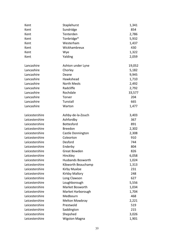| Kent           | Staplehurst              | 1,341  |
|----------------|--------------------------|--------|
| Kent           | Sundridge                | 854    |
| Kent           | Tenterden                | 2,786  |
| Kent           | Tonbridge*               | 5,932  |
| Kent           | Westerham                | 1,437  |
| Kent           | Wickhambreux             | 430    |
| Kent           | Wye                      | 1,322  |
| Kent           | Yalding                  | 2,059  |
| Lancashire     | Ashton under Lyne        | 19,052 |
| Lancashire     | Chorley                  | 5,182  |
| Lancashire     | Deane                    | 9,945  |
| Lancashire     | Hawkshead                | 1,710  |
| Lancashire     | <b>North Meols</b>       | 2,492  |
| Lancashire     | Radcliffe                | 2,792  |
| Lancashire     | Rochdale                 | 33,577 |
| Lancashire     | Torver                   | 204    |
| Lancashire     | Tunstall                 | 665    |
| Lancashire     | Warton                   | 1,477  |
| Leicestershire | Ashby-de-la-Zouch        | 3,403  |
| Leicestershire | Ashfordby                | 367    |
| Leicestershire | Bottesford               | 891    |
| Leicestershire | <b>Breedon</b>           | 2,302  |
| Leicestershire | Castle Donnington        | 2,308  |
| Leicestershire | Coleorton                | 910    |
| Leicestershire | Desford                  | 744    |
| Leicestershire | Enderby                  | 804    |
| Leicestershire | Great Bowden             | 826    |
| Leicestershire | Hinckley                 | 6,058  |
| Leicestershire | <b>Husbands Bosworth</b> | 1,024  |
| Leicestershire | Kibworth Beauchamp       | 1,313  |
| Leicestershire | Kirby Muxloe             | 231    |
| Leicestershire | Kirkby Mallory           | 248    |
| Leicestershire | Long Clawson             | 627    |
| Leicestershire | Loughborough             | 5,556  |
| Leicestershire | Market Bosworth          | 1,034  |
| Leicestershire | Market Harborough        | 1,704  |
| Leicestershire | Medbourn                 | 468    |
| Leicestershire | <b>Melton Mowbray</b>    | 2,221  |
| Leicestershire | Prestwold                | 519    |
| Leicestershire | Saddington               | 215    |
| Leicestershire | Shepshed                 | 3,026  |
| Leicestershire | <b>Wigston Magna</b>     | 1,901  |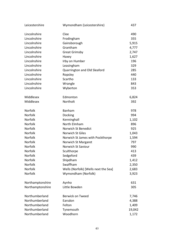| Leicestershire   | Wymondham (Leicestershire)           | 437    |
|------------------|--------------------------------------|--------|
| Lincolnshire     | Clee                                 | 490    |
| Lincolnshire     | Frodingham                           | 355    |
| Lincolnshire     | Gainsborough                         | 5,915  |
| Lincolnshire     | Grantham                             | 4,777  |
| Lincolnshire     | <b>Great Grimsby</b>                 | 2,747  |
| Lincolnshire     | Haxey                                | 1,627  |
| Lincolnshire     | Irby on Humber                       | 196    |
| Lincolnshire     | Leasingham                           | 329    |
| Lincolnshire     | Quarrington and Old Sleaford         | 285    |
| Lincolnshire     | Ropsley                              | 440    |
| Lincolnshire     | Scartho                              | 133    |
| Lincolnshire     | Wrangle                              | 843    |
| Lincolnshire     | Wyberton                             | 353    |
| Middlesex        | Edmonton                             | 6,824  |
| Middlesex        | Northolt                             | 392    |
| Norfolk          | Banham                               | 978    |
| Norfolk          | Docking                              | 994    |
| Norfolk          | Kenninghall                          | 1,102  |
| Norfolk          | North Elmham                         | 896    |
| Norfolk          | Norwich St Benedict                  | 925    |
| Norfolk          | Norwich St Giles                     | 1,043  |
| Norfolk          | Norwich St James with Pockthorpe     | 1,594  |
| Norfolk          | Norwich St Margaret                  | 797    |
| Norfolk          | Norwich St Saviour                   | 990    |
| Norfolk          | Sculthorpe                           | 413    |
| Norfolk          | Sedgeford                            | 439    |
| Norfolk          | Shipdham                             | 1,412  |
| Norfolk          | Swaffham                             | 2,350  |
| Norfolk          | Wells (Norfolk) [Wells next the Sea] | 2,683  |
| Norfolk          | Wymondham (Norfolk)                  | 3,923  |
| Northamptonshire | Aynho                                | 631    |
| Northamptonshire | Little Bowden                        | 305    |
| Northumberland   | <b>Berwick on Tweed</b>              | 7,746  |
| Northumberland   | Earsdon                              | 4,388  |
| Northumberland   | Felton                               | 1,409  |
| Northumberland   | Tynemouth                            | 19,042 |
| Northumberland   | Woodhorn                             | 1,172  |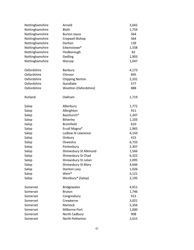| Nottinghamshire | Arnold                    | 3,042 |
|-----------------|---------------------------|-------|
| Nottinghamshire | Blyth                     | 1,759 |
| Nottinghamshire | <b>Burton Joyce</b>       | 564   |
| Nottinghamshire | Cropwell Bishop           | 364   |
| Nottinghamshire | Darlton                   | 139   |
| Nottinghamshire | Edwinstowe*               | 1,558 |
| Nottinghamshire | Fledborough               | 82    |
| Nottinghamshire | Gedling                   | 1,903 |
| Nottinghamshire | Warsop                    | 1,047 |
| Oxfordshire     | Banbury                   | 4,173 |
| Oxfordshire     | Chinnor                   | 895   |
| Oxfordshire     | <b>Chipping Norton</b>    | 2,331 |
| Oxfordshire     | Standlake                 | 577   |
| Oxfordshire     | Wootton (Oxfordshire)     | 888   |
| Rutland         | Oakham                    | 1,719 |
| Salop           | Alberbury                 | 1,772 |
| Salop           | Albrighton                | 911   |
| Salop           | Baschurch*                | 1,347 |
| Salop           | Bitterley                 | 1,103 |
| Salop           | <b>Bromfield</b>          | 610   |
| Salop           | Ercall Magna*             | 1,965 |
| Salop           | <b>Ludlow St Lawrence</b> | 4,150 |
| Salop           | Onibury                   | 415   |
| Salop           | Oswestry                  | 6,733 |
| Salop           | Pontesbury                | 2,307 |
| Salop           | Shrewsbury St Alkmund     | 1,566 |
| Salop           | Shrewsbury St Chad        | 6,322 |
| Salop           | Shrewsbury St Julian      | 2,095 |
| Salop           | <b>Shrewsbury St Mary</b> | 4,646 |
| Salop           | <b>Stanton Lacy</b>       | 1,026 |
| Salop           | Wem*                      | 3,121 |
| Salop           | Westbury* (Salop)         | 2,195 |
| Somerset        | Bridgewater               | 4,911 |
| Somerset        | <b>Bruton</b>             | 1,746 |
| Somerset        | Congresbury               | 913   |
| Somerset        | Crewkerne                 | 3,021 |
| Somerset        | Martock                   | 2,356 |
| Somerset        | Milborne Port             | 1,000 |
| Somerset        | North Cadbury             | 908   |
| Somerset        | North Petherton           | 2,615 |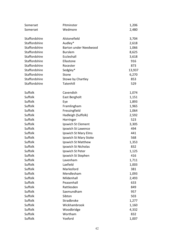| Wedmore<br>Somerset<br>2,480<br>Staffordshire<br>Alstonefield<br>3,704<br>Staffordshire<br>Audley*<br>2,618<br>Staffordshire<br><b>Barton under Needwood</b><br>1,066<br>Staffordshire<br><b>Burslem</b><br>8,625<br>Staffordshire<br>Eccleshall<br>3,618<br>Staffordshire<br>Ellastone<br>916<br>Staffordshire<br>Rocester<br>873<br>Staffordshire<br>Sedgley*<br>13,937<br>Staffordshire<br>6,270<br>Stone<br>Staffordshire<br>853<br>Stowe by Chartley<br>Staffordshire<br>Tatenhill<br>529<br>Suffolk<br>Cavendish<br>1,074<br>Suffolk<br>East Bergholt<br>1,151<br>Suffolk<br>1,893<br>Eye<br>Suffolk<br>1,965<br>Framlingham<br>Suffolk<br>Fressingfield<br>1,064<br>Suffolk<br>Hadleigh (Suffolk)<br>2,592<br>Suffolk<br>523<br>Horringer<br>Suffolk<br>Ipswich St Clement<br>3,305<br>Suffolk<br>494<br>Ipswich St Lawence<br>Suffolk<br>Ipswich St Mary Elms<br>441<br>Suffolk<br>Ipswich St Mary Stoke<br>568<br>Suffolk<br>Ipswich St Matthew<br>1,353<br>Suffolk<br>Ipswich St Nicholas<br>832<br>Suffolk<br>Ipswich St Peter<br>1,125<br>Suffolk<br>416<br>Ipswich St Stephen<br>Suffolk<br>Lavenham<br>1,711<br>Suffolk<br>Laxfield<br>1,003<br>Suffolk<br>Marlesford<br>381<br>Mendlesham<br>Suffolk<br>1,093<br>Suffolk<br>Mildenhall<br>2,493<br>Suffolk<br>Peasenhall<br>633<br>Suffolk<br>Rattlesden<br>849<br>Suffolk<br>Saxmundham<br>957<br>Suffolk<br>Sibton<br>503<br>Suffolk<br>Stradbroke<br>1,277<br>Suffolk<br>Wickhambrook<br>1,160<br>Suffolk<br>Woodbridge<br>4,332<br>Suffolk<br>Wortham<br>832 | Somerset | Pitminster | 1,206 |
|---------------------------------------------------------------------------------------------------------------------------------------------------------------------------------------------------------------------------------------------------------------------------------------------------------------------------------------------------------------------------------------------------------------------------------------------------------------------------------------------------------------------------------------------------------------------------------------------------------------------------------------------------------------------------------------------------------------------------------------------------------------------------------------------------------------------------------------------------------------------------------------------------------------------------------------------------------------------------------------------------------------------------------------------------------------------------------------------------------------------------------------------------------------------------------------------------------------------------------------------------------------------------------------------------------------------------------------------------------------------------------------------------------------------------------------------------------------------------------------------------------------------------------|----------|------------|-------|
|                                                                                                                                                                                                                                                                                                                                                                                                                                                                                                                                                                                                                                                                                                                                                                                                                                                                                                                                                                                                                                                                                                                                                                                                                                                                                                                                                                                                                                                                                                                                 |          |            |       |
|                                                                                                                                                                                                                                                                                                                                                                                                                                                                                                                                                                                                                                                                                                                                                                                                                                                                                                                                                                                                                                                                                                                                                                                                                                                                                                                                                                                                                                                                                                                                 |          |            |       |
|                                                                                                                                                                                                                                                                                                                                                                                                                                                                                                                                                                                                                                                                                                                                                                                                                                                                                                                                                                                                                                                                                                                                                                                                                                                                                                                                                                                                                                                                                                                                 |          |            |       |
|                                                                                                                                                                                                                                                                                                                                                                                                                                                                                                                                                                                                                                                                                                                                                                                                                                                                                                                                                                                                                                                                                                                                                                                                                                                                                                                                                                                                                                                                                                                                 |          |            |       |
|                                                                                                                                                                                                                                                                                                                                                                                                                                                                                                                                                                                                                                                                                                                                                                                                                                                                                                                                                                                                                                                                                                                                                                                                                                                                                                                                                                                                                                                                                                                                 |          |            |       |
|                                                                                                                                                                                                                                                                                                                                                                                                                                                                                                                                                                                                                                                                                                                                                                                                                                                                                                                                                                                                                                                                                                                                                                                                                                                                                                                                                                                                                                                                                                                                 |          |            |       |
|                                                                                                                                                                                                                                                                                                                                                                                                                                                                                                                                                                                                                                                                                                                                                                                                                                                                                                                                                                                                                                                                                                                                                                                                                                                                                                                                                                                                                                                                                                                                 |          |            |       |
|                                                                                                                                                                                                                                                                                                                                                                                                                                                                                                                                                                                                                                                                                                                                                                                                                                                                                                                                                                                                                                                                                                                                                                                                                                                                                                                                                                                                                                                                                                                                 |          |            |       |
|                                                                                                                                                                                                                                                                                                                                                                                                                                                                                                                                                                                                                                                                                                                                                                                                                                                                                                                                                                                                                                                                                                                                                                                                                                                                                                                                                                                                                                                                                                                                 |          |            |       |
|                                                                                                                                                                                                                                                                                                                                                                                                                                                                                                                                                                                                                                                                                                                                                                                                                                                                                                                                                                                                                                                                                                                                                                                                                                                                                                                                                                                                                                                                                                                                 |          |            |       |
|                                                                                                                                                                                                                                                                                                                                                                                                                                                                                                                                                                                                                                                                                                                                                                                                                                                                                                                                                                                                                                                                                                                                                                                                                                                                                                                                                                                                                                                                                                                                 |          |            |       |
|                                                                                                                                                                                                                                                                                                                                                                                                                                                                                                                                                                                                                                                                                                                                                                                                                                                                                                                                                                                                                                                                                                                                                                                                                                                                                                                                                                                                                                                                                                                                 |          |            |       |
|                                                                                                                                                                                                                                                                                                                                                                                                                                                                                                                                                                                                                                                                                                                                                                                                                                                                                                                                                                                                                                                                                                                                                                                                                                                                                                                                                                                                                                                                                                                                 |          |            |       |
|                                                                                                                                                                                                                                                                                                                                                                                                                                                                                                                                                                                                                                                                                                                                                                                                                                                                                                                                                                                                                                                                                                                                                                                                                                                                                                                                                                                                                                                                                                                                 |          |            |       |
|                                                                                                                                                                                                                                                                                                                                                                                                                                                                                                                                                                                                                                                                                                                                                                                                                                                                                                                                                                                                                                                                                                                                                                                                                                                                                                                                                                                                                                                                                                                                 |          |            |       |
|                                                                                                                                                                                                                                                                                                                                                                                                                                                                                                                                                                                                                                                                                                                                                                                                                                                                                                                                                                                                                                                                                                                                                                                                                                                                                                                                                                                                                                                                                                                                 |          |            |       |
|                                                                                                                                                                                                                                                                                                                                                                                                                                                                                                                                                                                                                                                                                                                                                                                                                                                                                                                                                                                                                                                                                                                                                                                                                                                                                                                                                                                                                                                                                                                                 |          |            |       |
|                                                                                                                                                                                                                                                                                                                                                                                                                                                                                                                                                                                                                                                                                                                                                                                                                                                                                                                                                                                                                                                                                                                                                                                                                                                                                                                                                                                                                                                                                                                                 |          |            |       |
|                                                                                                                                                                                                                                                                                                                                                                                                                                                                                                                                                                                                                                                                                                                                                                                                                                                                                                                                                                                                                                                                                                                                                                                                                                                                                                                                                                                                                                                                                                                                 |          |            |       |
|                                                                                                                                                                                                                                                                                                                                                                                                                                                                                                                                                                                                                                                                                                                                                                                                                                                                                                                                                                                                                                                                                                                                                                                                                                                                                                                                                                                                                                                                                                                                 |          |            |       |
|                                                                                                                                                                                                                                                                                                                                                                                                                                                                                                                                                                                                                                                                                                                                                                                                                                                                                                                                                                                                                                                                                                                                                                                                                                                                                                                                                                                                                                                                                                                                 |          |            |       |
|                                                                                                                                                                                                                                                                                                                                                                                                                                                                                                                                                                                                                                                                                                                                                                                                                                                                                                                                                                                                                                                                                                                                                                                                                                                                                                                                                                                                                                                                                                                                 |          |            |       |
|                                                                                                                                                                                                                                                                                                                                                                                                                                                                                                                                                                                                                                                                                                                                                                                                                                                                                                                                                                                                                                                                                                                                                                                                                                                                                                                                                                                                                                                                                                                                 |          |            |       |
|                                                                                                                                                                                                                                                                                                                                                                                                                                                                                                                                                                                                                                                                                                                                                                                                                                                                                                                                                                                                                                                                                                                                                                                                                                                                                                                                                                                                                                                                                                                                 |          |            |       |
|                                                                                                                                                                                                                                                                                                                                                                                                                                                                                                                                                                                                                                                                                                                                                                                                                                                                                                                                                                                                                                                                                                                                                                                                                                                                                                                                                                                                                                                                                                                                 |          |            |       |
|                                                                                                                                                                                                                                                                                                                                                                                                                                                                                                                                                                                                                                                                                                                                                                                                                                                                                                                                                                                                                                                                                                                                                                                                                                                                                                                                                                                                                                                                                                                                 |          |            |       |
|                                                                                                                                                                                                                                                                                                                                                                                                                                                                                                                                                                                                                                                                                                                                                                                                                                                                                                                                                                                                                                                                                                                                                                                                                                                                                                                                                                                                                                                                                                                                 |          |            |       |
|                                                                                                                                                                                                                                                                                                                                                                                                                                                                                                                                                                                                                                                                                                                                                                                                                                                                                                                                                                                                                                                                                                                                                                                                                                                                                                                                                                                                                                                                                                                                 |          |            |       |
|                                                                                                                                                                                                                                                                                                                                                                                                                                                                                                                                                                                                                                                                                                                                                                                                                                                                                                                                                                                                                                                                                                                                                                                                                                                                                                                                                                                                                                                                                                                                 |          |            |       |
|                                                                                                                                                                                                                                                                                                                                                                                                                                                                                                                                                                                                                                                                                                                                                                                                                                                                                                                                                                                                                                                                                                                                                                                                                                                                                                                                                                                                                                                                                                                                 |          |            |       |
|                                                                                                                                                                                                                                                                                                                                                                                                                                                                                                                                                                                                                                                                                                                                                                                                                                                                                                                                                                                                                                                                                                                                                                                                                                                                                                                                                                                                                                                                                                                                 |          |            |       |
|                                                                                                                                                                                                                                                                                                                                                                                                                                                                                                                                                                                                                                                                                                                                                                                                                                                                                                                                                                                                                                                                                                                                                                                                                                                                                                                                                                                                                                                                                                                                 |          |            |       |
|                                                                                                                                                                                                                                                                                                                                                                                                                                                                                                                                                                                                                                                                                                                                                                                                                                                                                                                                                                                                                                                                                                                                                                                                                                                                                                                                                                                                                                                                                                                                 |          |            |       |
|                                                                                                                                                                                                                                                                                                                                                                                                                                                                                                                                                                                                                                                                                                                                                                                                                                                                                                                                                                                                                                                                                                                                                                                                                                                                                                                                                                                                                                                                                                                                 |          |            |       |
|                                                                                                                                                                                                                                                                                                                                                                                                                                                                                                                                                                                                                                                                                                                                                                                                                                                                                                                                                                                                                                                                                                                                                                                                                                                                                                                                                                                                                                                                                                                                 |          |            |       |
|                                                                                                                                                                                                                                                                                                                                                                                                                                                                                                                                                                                                                                                                                                                                                                                                                                                                                                                                                                                                                                                                                                                                                                                                                                                                                                                                                                                                                                                                                                                                 |          |            |       |
|                                                                                                                                                                                                                                                                                                                                                                                                                                                                                                                                                                                                                                                                                                                                                                                                                                                                                                                                                                                                                                                                                                                                                                                                                                                                                                                                                                                                                                                                                                                                 |          |            |       |
|                                                                                                                                                                                                                                                                                                                                                                                                                                                                                                                                                                                                                                                                                                                                                                                                                                                                                                                                                                                                                                                                                                                                                                                                                                                                                                                                                                                                                                                                                                                                 |          |            |       |
|                                                                                                                                                                                                                                                                                                                                                                                                                                                                                                                                                                                                                                                                                                                                                                                                                                                                                                                                                                                                                                                                                                                                                                                                                                                                                                                                                                                                                                                                                                                                 |          |            |       |
|                                                                                                                                                                                                                                                                                                                                                                                                                                                                                                                                                                                                                                                                                                                                                                                                                                                                                                                                                                                                                                                                                                                                                                                                                                                                                                                                                                                                                                                                                                                                 |          |            |       |
|                                                                                                                                                                                                                                                                                                                                                                                                                                                                                                                                                                                                                                                                                                                                                                                                                                                                                                                                                                                                                                                                                                                                                                                                                                                                                                                                                                                                                                                                                                                                 |          |            |       |
|                                                                                                                                                                                                                                                                                                                                                                                                                                                                                                                                                                                                                                                                                                                                                                                                                                                                                                                                                                                                                                                                                                                                                                                                                                                                                                                                                                                                                                                                                                                                 |          |            |       |
| Suffolk<br>Yoxford<br>1,007                                                                                                                                                                                                                                                                                                                                                                                                                                                                                                                                                                                                                                                                                                                                                                                                                                                                                                                                                                                                                                                                                                                                                                                                                                                                                                                                                                                                                                                                                                     |          |            |       |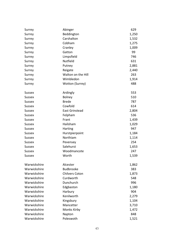| Surrey        | Abinger               | 629   |
|---------------|-----------------------|-------|
| Surrey        | Beddington            | 1,250 |
| Surrey        | Carshalton            | 1,532 |
| Surrey        | Cobham                | 1,275 |
| Surrey        | Cranley               | 1,009 |
| Surrey        | Gatton                | 99    |
| Surrey        | Limpsfield            | 746   |
| Surrey        | Nutfield              | 631   |
| Surrey        | Putney                | 2,881 |
| Surrey        | Reigate               | 2,440 |
| Surrey        | Walton on the Hill    | 263   |
| Surrey        | Wimbledon             | 1,914 |
| Surrey        | Wotton (Surrey)       | 488   |
| <b>Sussex</b> | Ardingly              | 553   |
| <b>Sussex</b> | <b>Bolney</b>         | 510   |
| <b>Sussex</b> | <b>Brede</b>          | 787   |
| <b>Sussex</b> | Cowfold               | 614   |
| <b>Sussex</b> | <b>East Grinstead</b> | 2,804 |
| <b>Sussex</b> | Felpham               | 536   |
| <b>Sussex</b> | Frant                 | 1,439 |
| <b>Sussex</b> | Hailsham              | 1,029 |
| <b>Sussex</b> | Harting               | 947   |
| Sussex        | Hurstpierpoint        | 1,184 |
| <b>Sussex</b> | Northiam              | 1,114 |
| <b>Sussex</b> | Pevensey              | 254   |
| <b>Sussex</b> | Salehurst             | 1,653 |
| <b>Sussex</b> | Woodmancote           | 247   |
| Sussex        | Worth                 | 1,539 |
| Warwickshire  | Alcester              | 1,862 |
| Warwickshire  | Budbrooke             | 383   |
| Warwickshire  | <b>Chilvers Coton</b> | 1,873 |
| Warwickshire  | Curdworth             | 548   |
| Warwickshire  | Dunchurch             | 996   |
| Warwickshire  | Edgbaston             | 1,180 |
| Warwickshire  | Harbury               | 904   |
| Warwickshire  | Kenilworth            | 2,279 |
| Warwickshire  | Kingsbury             | 1,104 |
| Warwickshire  | Mancetter             | 3,710 |
| Warwickshire  | Monks Kirby           | 1,472 |
| Warwickshire  | Napton                | 848   |
| Warwickshire  | Poleswoth             | 1,521 |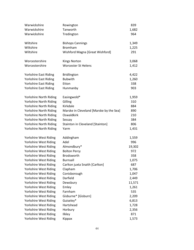| Warwickshire                  | Rowington                               | 839    |
|-------------------------------|-----------------------------------------|--------|
| Warwickshire                  | Tanworth                                | 1,682  |
| Warwickshire                  | Tredington                              | 964    |
|                               |                                         |        |
| Wiltshire                     | <b>Bishops Cannings</b>                 | 1,349  |
| Wiltshire                     | <b>Bromham</b>                          | 1,225  |
| Wiltshire                     | Wishford Magna [Great Wishford]         | 291    |
|                               |                                         |        |
| Worcestershire                | <b>Kings Norton</b>                     | 3,068  |
| Worcestershire                | <b>Worcester St Helens</b>              | 1,412  |
|                               |                                         |        |
| <b>Yorkshire East Riding</b>  | <b>Bridlington</b>                      | 4,422  |
| <b>Yorkshire East Riding</b>  | <b>Bubwith</b>                          | 1,260  |
| <b>Yorkshire East Riding</b>  | Etton                                   | 338    |
| <b>Yorkshire East Riding</b>  | Hunmanby                                | 903    |
|                               |                                         |        |
| <b>Yorkshire North Riding</b> | Easingwold*                             | 1,959  |
| Yorkshire North Riding        | Gilling                                 | 310    |
| Yorkshire North Riding        | Kirkdale                                | 884    |
| Yorkshire North Riding        | Marske in Cleveland [Marske by the Sea] | 890    |
| Yorkshire North Riding        | Oswaldkirk                              | 210    |
| Yorkshire North Riding        | Sessay                                  | 384    |
| Yorkshire North Riding        | Stainton in Cleveland [Stainton]        | 806    |
| Yorkshire North Riding        | Yarm                                    | 1,431  |
|                               |                                         |        |
| Yorkshire West Riding         | Addingham                               | 1,559  |
| Yorkshire West Riding         | Adel                                    | 996    |
| Yorkshire West Riding         | Almondbury*                             | 19,302 |
| Yorkshire West Riding         | <b>Bolton Percy</b>                     | 972    |
| Yorkshire West Riding         | Brodsworth                              | 358    |
| Yorkshire West Riding         | <b>Burnsall</b>                         | 1,075  |
| Yorkshire West Riding         | Carlton juxta Snaith [Carlton]          | 687    |
| Yorkshire West Riding         | Clapham                                 | 1,706  |
| Yorkshire West Riding         | Conisborough                            | 1,047  |
| Yorkshire West Riding         | Darfield                                | 2,449  |
| Yorkshire West Riding         | Dewsbury                                | 11,571 |
| Yorkshire West Riding         | Emley                                   | 1,261  |
| Yorkshire West Riding         | Farnham                                 | 535    |
| Yorkshire West Riding         | Gisburne* [Gisburn]                     | 2,209  |
| Yorkshire West Riding         | Guiseley*                               | 6,813  |
| Yorkshire West Riding         | Hartshead                               | 1,728  |
| Yorkshire West Riding         | Horbury                                 | 2,356  |
| Yorkshire West Riding         | Ilkley                                  | 871    |
| Yorkshire West Riding         | Kippax                                  | 1,573  |